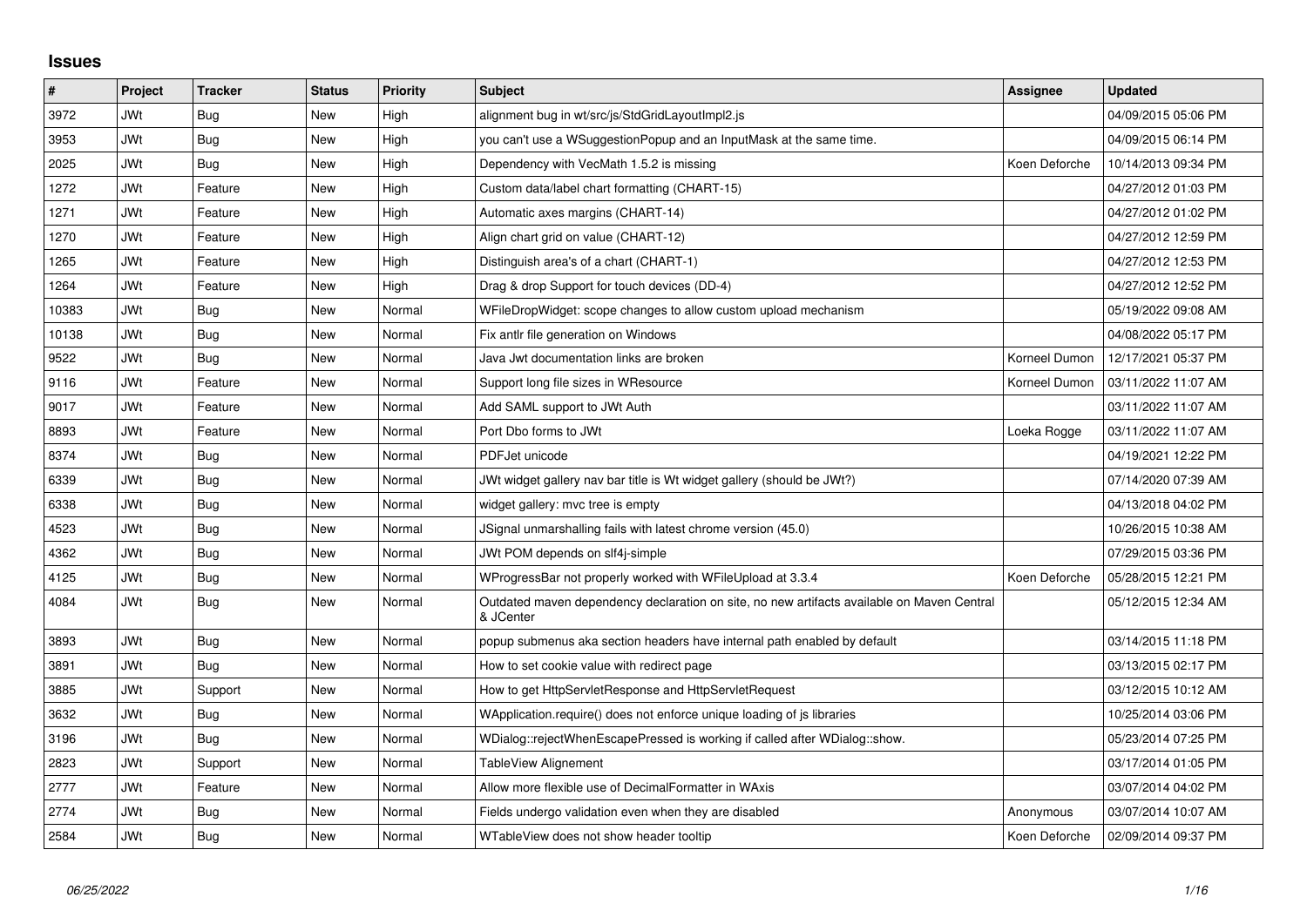## **Issues**

| $\vert$ # | Project    | <b>Tracker</b> | <b>Status</b> | <b>Priority</b> | <b>Subject</b>                                                                                          | <b>Assignee</b> | <b>Updated</b>      |
|-----------|------------|----------------|---------------|-----------------|---------------------------------------------------------------------------------------------------------|-----------------|---------------------|
| 3972      | <b>JWt</b> | Bug            | New           | High            | alignment bug in wt/src/js/StdGridLayoutImpl2.js                                                        |                 | 04/09/2015 05:06 PM |
| 3953      | <b>JWt</b> | <b>Bug</b>     | <b>New</b>    | High            | you can't use a WSuggestionPopup and an InputMask at the same time.                                     |                 | 04/09/2015 06:14 PM |
| 2025      | <b>JWt</b> | <b>Bug</b>     | <b>New</b>    | High            | Dependency with VecMath 1.5.2 is missing                                                                | Koen Deforche   | 10/14/2013 09:34 PM |
| 1272      | <b>JWt</b> | Feature        | <b>New</b>    | High            | Custom data/label chart formatting (CHART-15)                                                           |                 | 04/27/2012 01:03 PM |
| 1271      | <b>JWt</b> | Feature        | New           | High            | Automatic axes margins (CHART-14)                                                                       |                 | 04/27/2012 01:02 PM |
| 1270      | <b>JWt</b> | Feature        | <b>New</b>    | High            | Align chart grid on value (CHART-12)                                                                    |                 | 04/27/2012 12:59 PM |
| 1265      | <b>JWt</b> | Feature        | <b>New</b>    | High            | Distinguish area's of a chart (CHART-1)                                                                 |                 | 04/27/2012 12:53 PM |
| 1264      | <b>JWt</b> | Feature        | <b>New</b>    | High            | Drag & drop Support for touch devices (DD-4)                                                            |                 | 04/27/2012 12:52 PM |
| 10383     | <b>JWt</b> | <b>Bug</b>     | <b>New</b>    | Normal          | WFileDropWidget: scope changes to allow custom upload mechanism                                         |                 | 05/19/2022 09:08 AM |
| 10138     | JWt        | <b>Bug</b>     | <b>New</b>    | Normal          | Fix antlr file generation on Windows                                                                    |                 | 04/08/2022 05:17 PM |
| 9522      | JWt        | <b>Bug</b>     | <b>New</b>    | Normal          | Java Jwt documentation links are broken                                                                 | Korneel Dumon   | 12/17/2021 05:37 PM |
| 9116      | <b>JWt</b> | Feature        | <b>New</b>    | Normal          | Support long file sizes in WResource                                                                    | Korneel Dumon   | 03/11/2022 11:07 AM |
| 9017      | <b>JWt</b> | Feature        | <b>New</b>    | Normal          | Add SAML support to JWt Auth                                                                            |                 | 03/11/2022 11:07 AM |
| 8893      | <b>JWt</b> | Feature        | <b>New</b>    | Normal          | Port Dbo forms to JWt                                                                                   | Loeka Rogge     | 03/11/2022 11:07 AM |
| 8374      | <b>JWt</b> | Bug            | <b>New</b>    | Normal          | PDFJet unicode                                                                                          |                 | 04/19/2021 12:22 PM |
| 6339      | <b>JWt</b> | <b>Bug</b>     | New           | Normal          | JWt widget gallery nav bar title is Wt widget gallery (should be JWt?)                                  |                 | 07/14/2020 07:39 AM |
| 6338      | <b>JWt</b> | <b>Bug</b>     | <b>New</b>    | Normal          | widget gallery: mvc tree is empty                                                                       |                 | 04/13/2018 04:02 PM |
| 4523      | <b>JWt</b> | Bug            | <b>New</b>    | Normal          | JSignal unmarshalling fails with latest chrome version (45.0)                                           |                 | 10/26/2015 10:38 AM |
| 4362      | JWt        | Bug            | <b>New</b>    | Normal          | JWt POM depends on slf4j-simple                                                                         |                 | 07/29/2015 03:36 PM |
| 4125      | <b>JWt</b> | Bug            | <b>New</b>    | Normal          | WProgressBar not properly worked with WFileUpload at 3.3.4                                              | Koen Deforche   | 05/28/2015 12:21 PM |
| 4084      | JWt        | Bug            | <b>New</b>    | Normal          | Outdated maven dependency declaration on site, no new artifacts available on Maven Central<br>& JCenter |                 | 05/12/2015 12:34 AM |
| 3893      | <b>JWt</b> | <b>Bug</b>     | <b>New</b>    | Normal          | popup submenus aka section headers have internal path enabled by default                                |                 | 03/14/2015 11:18 PM |
| 3891      | JWt        | Bug            | <b>New</b>    | Normal          | How to set cookie value with redirect page                                                              |                 | 03/13/2015 02:17 PM |
| 3885      | <b>JWt</b> | Support        | <b>New</b>    | Normal          | How to get HttpServletResponse and HttpServletRequest                                                   |                 | 03/12/2015 10:12 AM |
| 3632      | <b>JWt</b> | Bug            | <b>New</b>    | Normal          | WApplication.require() does not enforce unique loading of js libraries                                  |                 | 10/25/2014 03:06 PM |
| 3196      | JWt        | <b>Bug</b>     | <b>New</b>    | Normal          | WDialog::rejectWhenEscapePressed is working if called after WDialog::show.                              |                 | 05/23/2014 07:25 PM |
| 2823      | JWt        | Support        | <b>New</b>    | Normal          | TableView Alignement                                                                                    |                 | 03/17/2014 01:05 PM |
| 2777      | JWt        | Feature        | New           | Normal          | Allow more flexible use of DecimalFormatter in WAxis                                                    |                 | 03/07/2014 04:02 PM |
| 2774      | <b>JWt</b> | Bug            | <b>New</b>    | Normal          | Fields undergo validation even when they are disabled                                                   | Anonymous       | 03/07/2014 10:07 AM |
| 2584      | <b>JWt</b> | <b>Bug</b>     | <b>New</b>    | Normal          | WTableView does not show header tooltip                                                                 | Koen Deforche   | 02/09/2014 09:37 PM |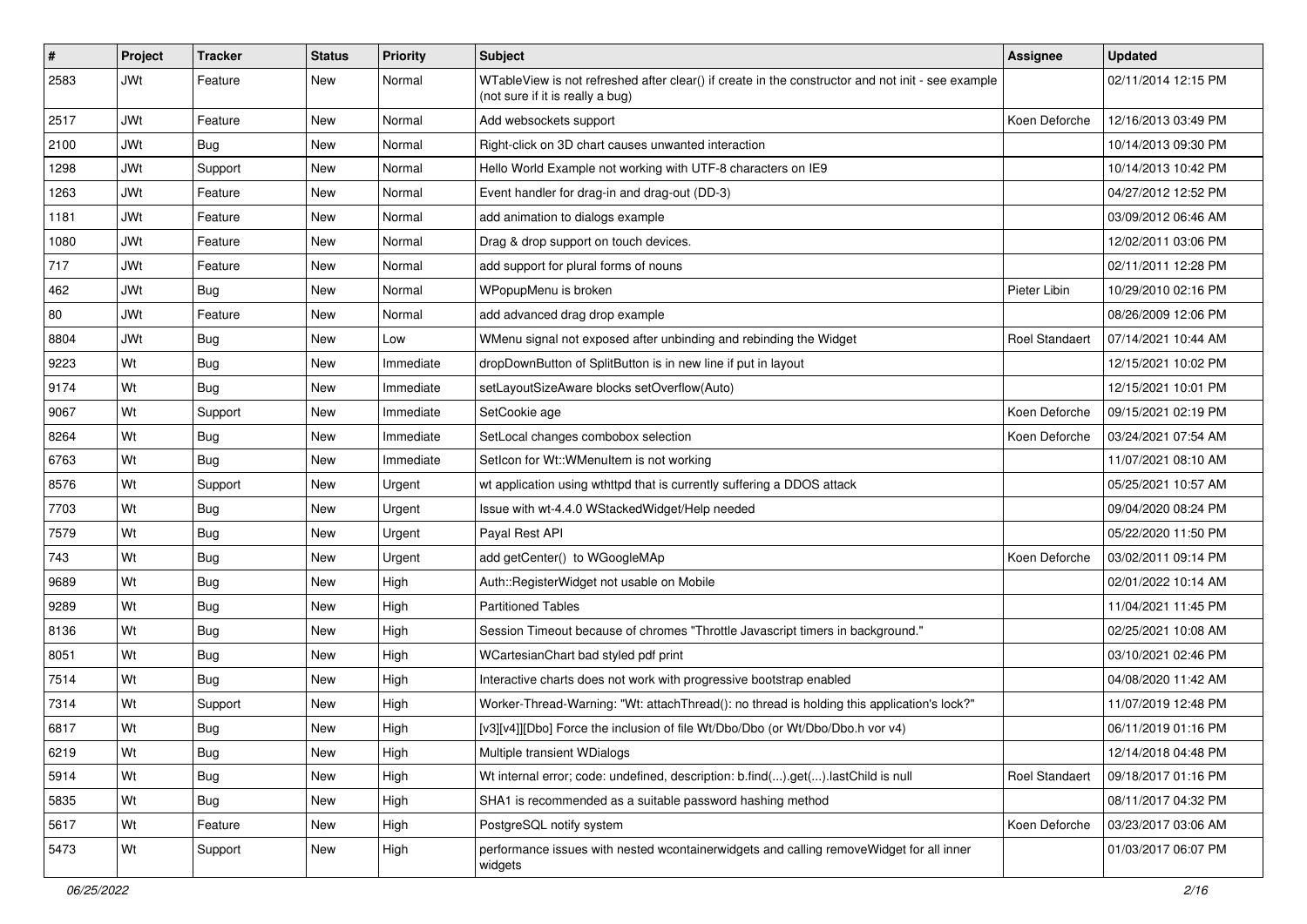| #    | Project    | <b>Tracker</b> | <b>Status</b> | <b>Priority</b> | Subject                                                                                                                               | Assignee       | <b>Updated</b>      |
|------|------------|----------------|---------------|-----------------|---------------------------------------------------------------------------------------------------------------------------------------|----------------|---------------------|
| 2583 | <b>JWt</b> | Feature        | <b>New</b>    | Normal          | WTableView is not refreshed after clear() if create in the constructor and not init - see example<br>(not sure if it is really a bug) |                | 02/11/2014 12:15 PM |
| 2517 | JWt        | Feature        | <b>New</b>    | Normal          | Add websockets support                                                                                                                | Koen Deforche  | 12/16/2013 03:49 PM |
| 2100 | <b>JWt</b> | Bug            | New           | Normal          | Right-click on 3D chart causes unwanted interaction                                                                                   |                | 10/14/2013 09:30 PM |
| 1298 | <b>JWt</b> | Support        | <b>New</b>    | Normal          | Hello World Example not working with UTF-8 characters on IE9                                                                          |                | 10/14/2013 10:42 PM |
| 1263 | <b>JWt</b> | Feature        | New           | Normal          | Event handler for drag-in and drag-out (DD-3)                                                                                         |                | 04/27/2012 12:52 PM |
| 1181 | <b>JWt</b> | Feature        | New           | Normal          | add animation to dialogs example                                                                                                      |                | 03/09/2012 06:46 AM |
| 1080 | JWt        | Feature        | <b>New</b>    | Normal          | Drag & drop support on touch devices.                                                                                                 |                | 12/02/2011 03:06 PM |
| 717  | <b>JWt</b> | Feature        | New           | Normal          | add support for plural forms of nouns                                                                                                 |                | 02/11/2011 12:28 PM |
| 462  | <b>JWt</b> | Bug            | <b>New</b>    | Normal          | WPopupMenu is broken                                                                                                                  | Pieter Libin   | 10/29/2010 02:16 PM |
| 80   | <b>JWt</b> | Feature        | New           | Normal          | add advanced drag drop example                                                                                                        |                | 08/26/2009 12:06 PM |
| 8804 | <b>JWt</b> | Bug            | <b>New</b>    | Low             | WMenu signal not exposed after unbinding and rebinding the Widget                                                                     | Roel Standaert | 07/14/2021 10:44 AM |
| 9223 | Wt         | Bug            | New           | Immediate       | dropDownButton of SplitButton is in new line if put in layout                                                                         |                | 12/15/2021 10:02 PM |
| 9174 | Wt         | Bug            | New           | Immediate       | setLayoutSizeAware blocks setOverflow(Auto)                                                                                           |                | 12/15/2021 10:01 PM |
| 9067 | Wt         | Support        | New           | Immediate       | SetCookie age                                                                                                                         | Koen Deforche  | 09/15/2021 02:19 PM |
| 8264 | Wt         | Bug            | <b>New</b>    | Immediate       | SetLocal changes combobox selection                                                                                                   | Koen Deforche  | 03/24/2021 07:54 AM |
| 6763 | Wt         | Bug            | <b>New</b>    | Immediate       | SetIcon for Wt:: WMenuItem is not working                                                                                             |                | 11/07/2021 08:10 AM |
| 8576 | Wt         | Support        | <b>New</b>    | Urgent          | wt application using wthttpd that is currently suffering a DDOS attack                                                                |                | 05/25/2021 10:57 AM |
| 7703 | Wt         | <b>Bug</b>     | New           | Urgent          | Issue with wt-4.4.0 WStackedWidget/Help needed                                                                                        |                | 09/04/2020 08:24 PM |
| 7579 | Wt         | Bug            | New           | Urgent          | Payal Rest API                                                                                                                        |                | 05/22/2020 11:50 PM |
| 743  | Wt         | Bug            | <b>New</b>    | Urgent          | add getCenter() to WGoogleMAp                                                                                                         | Koen Deforche  | 03/02/2011 09:14 PM |
| 9689 | Wt         | Bug            | New           | High            | Auth::RegisterWidget not usable on Mobile                                                                                             |                | 02/01/2022 10:14 AM |
| 9289 | Wt         | <b>Bug</b>     | <b>New</b>    | High            | <b>Partitioned Tables</b>                                                                                                             |                | 11/04/2021 11:45 PM |
| 8136 | Wt         | <b>Bug</b>     | New           | High            | Session Timeout because of chromes "Throttle Javascript timers in background."                                                        |                | 02/25/2021 10:08 AM |
| 8051 | Wt         | Bug            | <b>New</b>    | High            | WCartesianChart bad styled pdf print                                                                                                  |                | 03/10/2021 02:46 PM |
| 7514 | Wt         | <b>Bug</b>     | New           | High            | Interactive charts does not work with progressive bootstrap enabled                                                                   |                | 04/08/2020 11:42 AM |
| 7314 | Wt         | Support        | New           | High            | Worker-Thread-Warning: "Wt: attachThread(): no thread is holding this application's lock?"                                            |                | 11/07/2019 12:48 PM |
| 6817 | Wt         | Bug            | New           | High            | [v3][v4]][Dbo] Force the inclusion of file Wt/Dbo/Dbo (or Wt/Dbo/Dbo.h vor v4)                                                        |                | 06/11/2019 01:16 PM |
| 6219 | Wt         | <b>Bug</b>     | New           | High            | Multiple transient WDialogs                                                                                                           |                | 12/14/2018 04:48 PM |
| 5914 | Wt         | <b>Bug</b>     | New           | High            | Wt internal error; code: undefined, description: b.find().get().lastChild is null                                                     | Roel Standaert | 09/18/2017 01:16 PM |
| 5835 | Wt         | <b>Bug</b>     | New           | High            | SHA1 is recommended as a suitable password hashing method                                                                             |                | 08/11/2017 04:32 PM |
| 5617 | Wt         | Feature        | New           | High            | PostgreSQL notify system                                                                                                              | Koen Deforche  | 03/23/2017 03:06 AM |
| 5473 | Wt         | Support        | New           | High            | performance issues with nested wcontainerwidgets and calling removeWidget for all inner<br>widgets                                    |                | 01/03/2017 06:07 PM |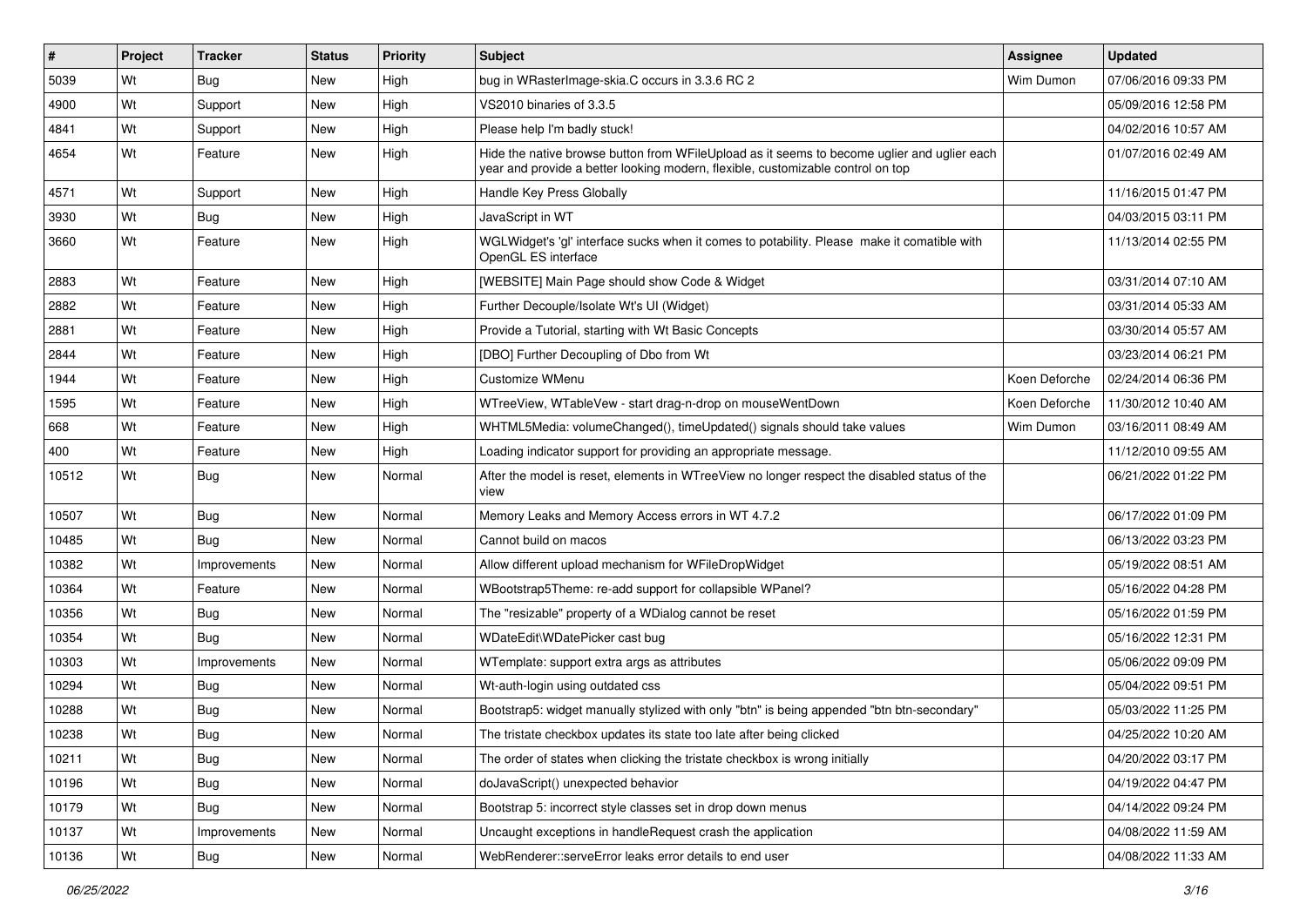| $\vert$ # | Project | <b>Tracker</b> | <b>Status</b> | <b>Priority</b> | <b>Subject</b>                                                                                                                                                                 | <b>Assignee</b> | <b>Updated</b>      |
|-----------|---------|----------------|---------------|-----------------|--------------------------------------------------------------------------------------------------------------------------------------------------------------------------------|-----------------|---------------------|
| 5039      | Wt      | Bug            | New           | High            | bug in WRasterImage-skia.C occurs in 3.3.6 RC 2                                                                                                                                | Wim Dumon       | 07/06/2016 09:33 PM |
| 4900      | Wt      | Support        | <b>New</b>    | High            | VS2010 binaries of 3.3.5                                                                                                                                                       |                 | 05/09/2016 12:58 PM |
| 4841      | Wt      | Support        | New           | High            | Please help I'm badly stuck!                                                                                                                                                   |                 | 04/02/2016 10:57 AM |
| 4654      | Wt      | Feature        | New           | High            | Hide the native browse button from WFileUpload as it seems to become uglier and uglier each<br>year and provide a better looking modern, flexible, customizable control on top |                 | 01/07/2016 02:49 AM |
| 4571      | Wt      | Support        | <b>New</b>    | High            | Handle Key Press Globally                                                                                                                                                      |                 | 11/16/2015 01:47 PM |
| 3930      | Wt      | Bug            | New           | High            | JavaScript in WT                                                                                                                                                               |                 | 04/03/2015 03:11 PM |
| 3660      | Wt      | Feature        | <b>New</b>    | High            | WGLWidget's 'gl' interface sucks when it comes to potability. Please make it comatible with<br>OpenGL ES interface                                                             |                 | 11/13/2014 02:55 PM |
| 2883      | Wt      | Feature        | <b>New</b>    | High            | [WEBSITE] Main Page should show Code & Widget                                                                                                                                  |                 | 03/31/2014 07:10 AM |
| 2882      | Wt      | Feature        | New           | High            | Further Decouple/Isolate Wt's UI (Widget)                                                                                                                                      |                 | 03/31/2014 05:33 AM |
| 2881      | Wt      | Feature        | <b>New</b>    | High            | Provide a Tutorial, starting with Wt Basic Concepts                                                                                                                            |                 | 03/30/2014 05:57 AM |
| 2844      | Wt      | Feature        | New           | High            | [DBO] Further Decoupling of Dbo from Wt                                                                                                                                        |                 | 03/23/2014 06:21 PM |
| 1944      | Wt      | Feature        | <b>New</b>    | High            | Customize WMenu                                                                                                                                                                | Koen Deforche   | 02/24/2014 06:36 PM |
| 1595      | Wt      | Feature        | New           | High            | WTreeView, WTableVew - start drag-n-drop on mouseWentDown                                                                                                                      | Koen Deforche   | 11/30/2012 10:40 AM |
| 668       | Wt      | Feature        | <b>New</b>    | High            | WHTML5Media: volumeChanged(), timeUpdated() signals should take values                                                                                                         | Wim Dumon       | 03/16/2011 08:49 AM |
| 400       | Wt      | Feature        | <b>New</b>    | High            | Loading indicator support for providing an appropriate message.                                                                                                                |                 | 11/12/2010 09:55 AM |
| 10512     | Wt      | Bug            | New           | Normal          | After the model is reset, elements in WTreeView no longer respect the disabled status of the<br>view                                                                           |                 | 06/21/2022 01:22 PM |
| 10507     | Wt      | Bug            | <b>New</b>    | Normal          | Memory Leaks and Memory Access errors in WT 4.7.2                                                                                                                              |                 | 06/17/2022 01:09 PM |
| 10485     | Wt      | <b>Bug</b>     | <b>New</b>    | Normal          | Cannot build on macos                                                                                                                                                          |                 | 06/13/2022 03:23 PM |
| 10382     | Wt      | Improvements   | New           | Normal          | Allow different upload mechanism for WFileDropWidget                                                                                                                           |                 | 05/19/2022 08:51 AM |
| 10364     | Wt      | Feature        | <b>New</b>    | Normal          | WBootstrap5Theme: re-add support for collapsible WPanel?                                                                                                                       |                 | 05/16/2022 04:28 PM |
| 10356     | Wt      | Bug            | New           | Normal          | The "resizable" property of a WDialog cannot be reset                                                                                                                          |                 | 05/16/2022 01:59 PM |
| 10354     | Wt      | Bug            | <b>New</b>    | Normal          | WDateEdit\WDatePicker cast bug                                                                                                                                                 |                 | 05/16/2022 12:31 PM |
| 10303     | Wt      | Improvements   | New           | Normal          | WTemplate: support extra args as attributes                                                                                                                                    |                 | 05/06/2022 09:09 PM |
| 10294     | Wt      | Bug            | <b>New</b>    | Normal          | Wt-auth-login using outdated css                                                                                                                                               |                 | 05/04/2022 09:51 PM |
| 10288     | Wt      | Bug            | New           | Normal          | Bootstrap5: widget manually stylized with only "btn" is being appended "btn btn-secondary"                                                                                     |                 | 05/03/2022 11:25 PM |
| 10238     | Wt      | Bug            | New           | Normal          | The tristate checkbox updates its state too late after being clicked                                                                                                           |                 | 04/25/2022 10:20 AM |
| 10211     | Wt      | Bug            | New           | Normal          | The order of states when clicking the tristate checkbox is wrong initially                                                                                                     |                 | 04/20/2022 03:17 PM |
| 10196     | Wt      | Bug            | New           | Normal          | doJavaScript() unexpected behavior                                                                                                                                             |                 | 04/19/2022 04:47 PM |
| 10179     | Wt      | Bug            | New           | Normal          | Bootstrap 5: incorrect style classes set in drop down menus                                                                                                                    |                 | 04/14/2022 09:24 PM |
| 10137     | Wt      | Improvements   | New           | Normal          | Uncaught exceptions in handleRequest crash the application                                                                                                                     |                 | 04/08/2022 11:59 AM |
| 10136     | Wt      | Bug            | New           | Normal          | WebRenderer::serveError leaks error details to end user                                                                                                                        |                 | 04/08/2022 11:33 AM |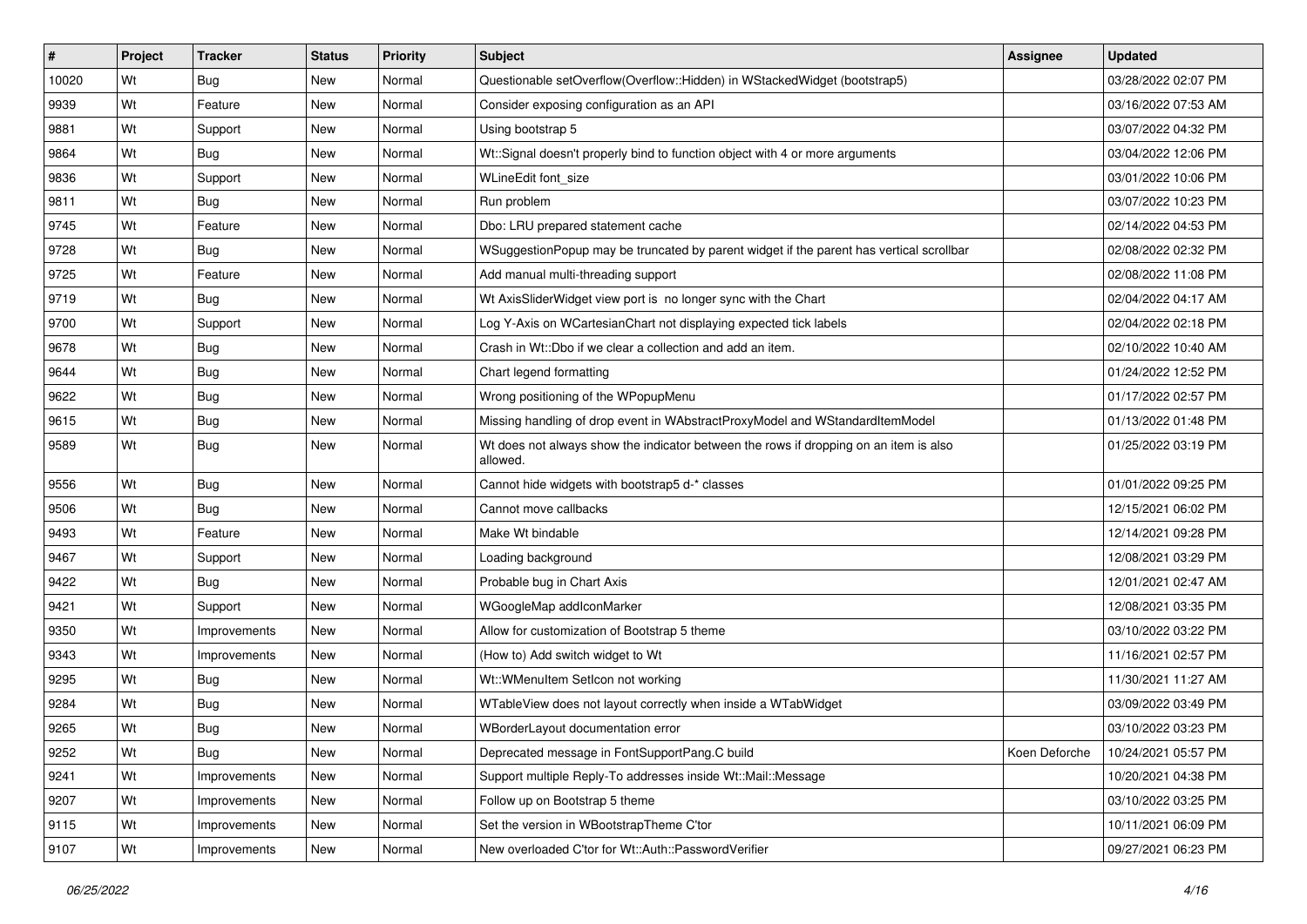| #     | Project | <b>Tracker</b> | <b>Status</b> | Priority | <b>Subject</b>                                                                                    | <b>Assignee</b> | <b>Updated</b>      |
|-------|---------|----------------|---------------|----------|---------------------------------------------------------------------------------------------------|-----------------|---------------------|
| 10020 | Wt      | <b>Bug</b>     | New           | Normal   | Questionable setOverflow(Overflow::Hidden) in WStackedWidget (bootstrap5)                         |                 | 03/28/2022 02:07 PM |
| 9939  | Wt      | Feature        | New           | Normal   | Consider exposing configuration as an API                                                         |                 | 03/16/2022 07:53 AM |
| 9881  | Wt      | Support        | New           | Normal   | Using bootstrap 5                                                                                 |                 | 03/07/2022 04:32 PM |
| 9864  | Wt      | Bug            | New           | Normal   | Wt::Signal doesn't properly bind to function object with 4 or more arguments                      |                 | 03/04/2022 12:06 PM |
| 9836  | Wt      | Support        | New           | Normal   | WLineEdit font size                                                                               |                 | 03/01/2022 10:06 PM |
| 9811  | Wt      | <b>Bug</b>     | New           | Normal   | Run problem                                                                                       |                 | 03/07/2022 10:23 PM |
| 9745  | Wt      | Feature        | New           | Normal   | Dbo: LRU prepared statement cache                                                                 |                 | 02/14/2022 04:53 PM |
| 9728  | Wt      | <b>Bug</b>     | New           | Normal   | WSuggestionPopup may be truncated by parent widget if the parent has vertical scrollbar           |                 | 02/08/2022 02:32 PM |
| 9725  | Wt      | Feature        | New           | Normal   | Add manual multi-threading support                                                                |                 | 02/08/2022 11:08 PM |
| 9719  | Wt      | Bug            | New           | Normal   | Wt AxisSliderWidget view port is no longer sync with the Chart                                    |                 | 02/04/2022 04:17 AM |
| 9700  | Wt      | Support        | New           | Normal   | Log Y-Axis on WCartesianChart not displaying expected tick labels                                 |                 | 02/04/2022 02:18 PM |
| 9678  | Wt      | Bug            | New           | Normal   | Crash in Wt::Dbo if we clear a collection and add an item.                                        |                 | 02/10/2022 10:40 AM |
| 9644  | Wt      | Bug            | New           | Normal   | Chart legend formatting                                                                           |                 | 01/24/2022 12:52 PM |
| 9622  | Wt      | Bug            | New           | Normal   | Wrong positioning of the WPopupMenu                                                               |                 | 01/17/2022 02:57 PM |
| 9615  | Wt      | Bug            | New           | Normal   | Missing handling of drop event in WAbstractProxyModel and WStandardItemModel                      |                 | 01/13/2022 01:48 PM |
| 9589  | Wt      | <b>Bug</b>     | New           | Normal   | Wt does not always show the indicator between the rows if dropping on an item is also<br>allowed. |                 | 01/25/2022 03:19 PM |
| 9556  | Wt      | <b>Bug</b>     | New           | Normal   | Cannot hide widgets with bootstrap5 d-* classes                                                   |                 | 01/01/2022 09:25 PM |
| 9506  | Wt      | Bug            | New           | Normal   | Cannot move callbacks                                                                             |                 | 12/15/2021 06:02 PM |
| 9493  | Wt      | Feature        | New           | Normal   | Make Wt bindable                                                                                  |                 | 12/14/2021 09:28 PM |
| 9467  | Wt      | Support        | New           | Normal   | Loading background                                                                                |                 | 12/08/2021 03:29 PM |
| 9422  | Wt      | Bug            | New           | Normal   | Probable bug in Chart Axis                                                                        |                 | 12/01/2021 02:47 AM |
| 9421  | Wt      | Support        | New           | Normal   | WGoogleMap addIconMarker                                                                          |                 | 12/08/2021 03:35 PM |
| 9350  | Wt      | Improvements   | New           | Normal   | Allow for customization of Bootstrap 5 theme                                                      |                 | 03/10/2022 03:22 PM |
| 9343  | Wt      | Improvements   | New           | Normal   | (How to) Add switch widget to Wt                                                                  |                 | 11/16/2021 02:57 PM |
| 9295  | Wt      | <b>Bug</b>     | New           | Normal   | Wt::WMenuItem SetIcon not working                                                                 |                 | 11/30/2021 11:27 AM |
| 9284  | Wt      | <b>Bug</b>     | New           | Normal   | WTableView does not layout correctly when inside a WTabWidget                                     |                 | 03/09/2022 03:49 PM |
| 9265  | Wt      | <b>Bug</b>     | New           | Normal   | WBorderLayout documentation error                                                                 |                 | 03/10/2022 03:23 PM |
| 9252  | Wt      | <b>Bug</b>     | <b>New</b>    | Normal   | Deprecated message in FontSupportPang.C build                                                     | Koen Deforche   | 10/24/2021 05:57 PM |
| 9241  | Wt      | Improvements   | New           | Normal   | Support multiple Reply-To addresses inside Wt::Mail::Message                                      |                 | 10/20/2021 04:38 PM |
| 9207  | Wt      | Improvements   | New           | Normal   | Follow up on Bootstrap 5 theme                                                                    |                 | 03/10/2022 03:25 PM |
| 9115  | Wt      | Improvements   | New           | Normal   | Set the version in WBootstrapTheme C'tor                                                          |                 | 10/11/2021 06:09 PM |
| 9107  | Wt      | Improvements   | New           | Normal   | New overloaded C'tor for Wt::Auth::PasswordVerifier                                               |                 | 09/27/2021 06:23 PM |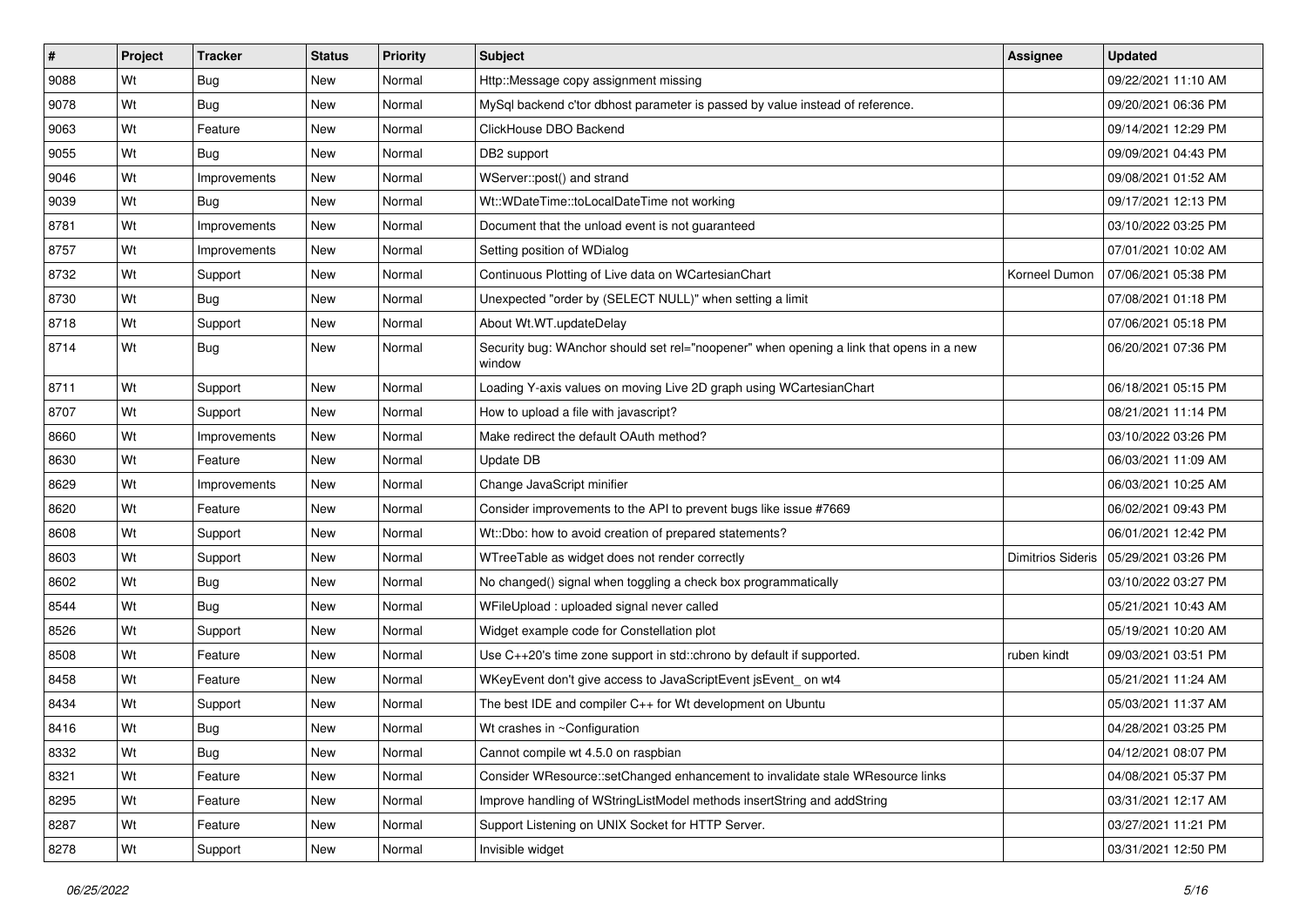| $\vert$ # | Project | <b>Tracker</b> | <b>Status</b> | <b>Priority</b> | <b>Subject</b>                                                                                    | Assignee                 | <b>Updated</b>      |
|-----------|---------|----------------|---------------|-----------------|---------------------------------------------------------------------------------------------------|--------------------------|---------------------|
| 9088      | Wt      | Bug            | New           | Normal          | Http::Message copy assignment missing                                                             |                          | 09/22/2021 11:10 AM |
| 9078      | Wt      | Bug            | <b>New</b>    | Normal          | MySql backend c'tor dbhost parameter is passed by value instead of reference.                     |                          | 09/20/2021 06:36 PM |
| 9063      | Wt      | Feature        | New           | Normal          | ClickHouse DBO Backend                                                                            |                          | 09/14/2021 12:29 PM |
| 9055      | Wt      | Bug            | <b>New</b>    | Normal          | DB2 support                                                                                       |                          | 09/09/2021 04:43 PM |
| 9046      | Wt      | Improvements   | New           | Normal          | WServer::post() and strand                                                                        |                          | 09/08/2021 01:52 AM |
| 9039      | Wt      | <b>Bug</b>     | <b>New</b>    | Normal          | Wt::WDateTime::toLocalDateTime not working                                                        |                          | 09/17/2021 12:13 PM |
| 8781      | Wt      | Improvements   | New           | Normal          | Document that the unload event is not guaranteed                                                  |                          | 03/10/2022 03:25 PM |
| 8757      | Wt      | Improvements   | New           | Normal          | Setting position of WDialog                                                                       |                          | 07/01/2021 10:02 AM |
| 8732      | Wt      | Support        | <b>New</b>    | Normal          | Continuous Plotting of Live data on WCartesianChart                                               | Korneel Dumon            | 07/06/2021 05:38 PM |
| 8730      | Wt      | Bug            | <b>New</b>    | Normal          | Unexpected "order by (SELECT NULL)" when setting a limit                                          |                          | 07/08/2021 01:18 PM |
| 8718      | Wt      | Support        | New           | Normal          | About Wt.WT.updateDelay                                                                           |                          | 07/06/2021 05:18 PM |
| 8714      | Wt      | Bug            | New           | Normal          | Security bug: WAnchor should set rel="noopener" when opening a link that opens in a new<br>window |                          | 06/20/2021 07:36 PM |
| 8711      | Wt      | Support        | New           | Normal          | Loading Y-axis values on moving Live 2D graph using WCartesianChart                               |                          | 06/18/2021 05:15 PM |
| 8707      | Wt      | Support        | <b>New</b>    | Normal          | How to upload a file with javascript?                                                             |                          | 08/21/2021 11:14 PM |
| 8660      | Wt      | Improvements   | New           | Normal          | Make redirect the default OAuth method?                                                           |                          | 03/10/2022 03:26 PM |
| 8630      | Wt      | Feature        | <b>New</b>    | Normal          | Update DB                                                                                         |                          | 06/03/2021 11:09 AM |
| 8629      | Wt      | Improvements   | New           | Normal          | Change JavaScript minifier                                                                        |                          | 06/03/2021 10:25 AM |
| 8620      | Wt      | Feature        | <b>New</b>    | Normal          | Consider improvements to the API to prevent bugs like issue #7669                                 |                          | 06/02/2021 09:43 PM |
| 8608      | Wt      | Support        | New           | Normal          | Wt::Dbo: how to avoid creation of prepared statements?                                            |                          | 06/01/2021 12:42 PM |
| 8603      | Wt      | Support        | <b>New</b>    | Normal          | WTreeTable as widget does not render correctly                                                    | <b>Dimitrios Sideris</b> | 05/29/2021 03:26 PM |
| 8602      | Wt      | Bug            | New           | Normal          | No changed() signal when toggling a check box programmatically                                    |                          | 03/10/2022 03:27 PM |
| 8544      | Wt      | <b>Bug</b>     | New           | Normal          | WFileUpload : uploaded signal never called                                                        |                          | 05/21/2021 10:43 AM |
| 8526      | Wt      | Support        | New           | Normal          | Widget example code for Constellation plot                                                        |                          | 05/19/2021 10:20 AM |
| 8508      | Wt      | Feature        | New           | Normal          | Use C++20's time zone support in std::chrono by default if supported.                             | ruben kindt              | 09/03/2021 03:51 PM |
| 8458      | Wt      | Feature        | <b>New</b>    | Normal          | WKeyEvent don't give access to JavaScriptEvent jsEvent_on wt4                                     |                          | 05/21/2021 11:24 AM |
| 8434      | Wt      | Support        | New           | Normal          | The best IDE and compiler C++ for Wt development on Ubuntu                                        |                          | 05/03/2021 11:37 AM |
| 8416      | Wt      | Bug            | New           | Normal          | Wt crashes in ~Configuration                                                                      |                          | 04/28/2021 03:25 PM |
| 8332      | Wt      | <b>Bug</b>     | New           | Normal          | Cannot compile wt 4.5.0 on raspbian                                                               |                          | 04/12/2021 08:07 PM |
| 8321      | Wt      | Feature        | New           | Normal          | Consider WResource::setChanged enhancement to invalidate stale WResource links                    |                          | 04/08/2021 05:37 PM |
| 8295      | Wt      | Feature        | New           | Normal          | Improve handling of WStringListModel methods insertString and addString                           |                          | 03/31/2021 12:17 AM |
| 8287      | Wt      | Feature        | New           | Normal          | Support Listening on UNIX Socket for HTTP Server.                                                 |                          | 03/27/2021 11:21 PM |
| 8278      | Wt      | Support        | New           | Normal          | Invisible widget                                                                                  |                          | 03/31/2021 12:50 PM |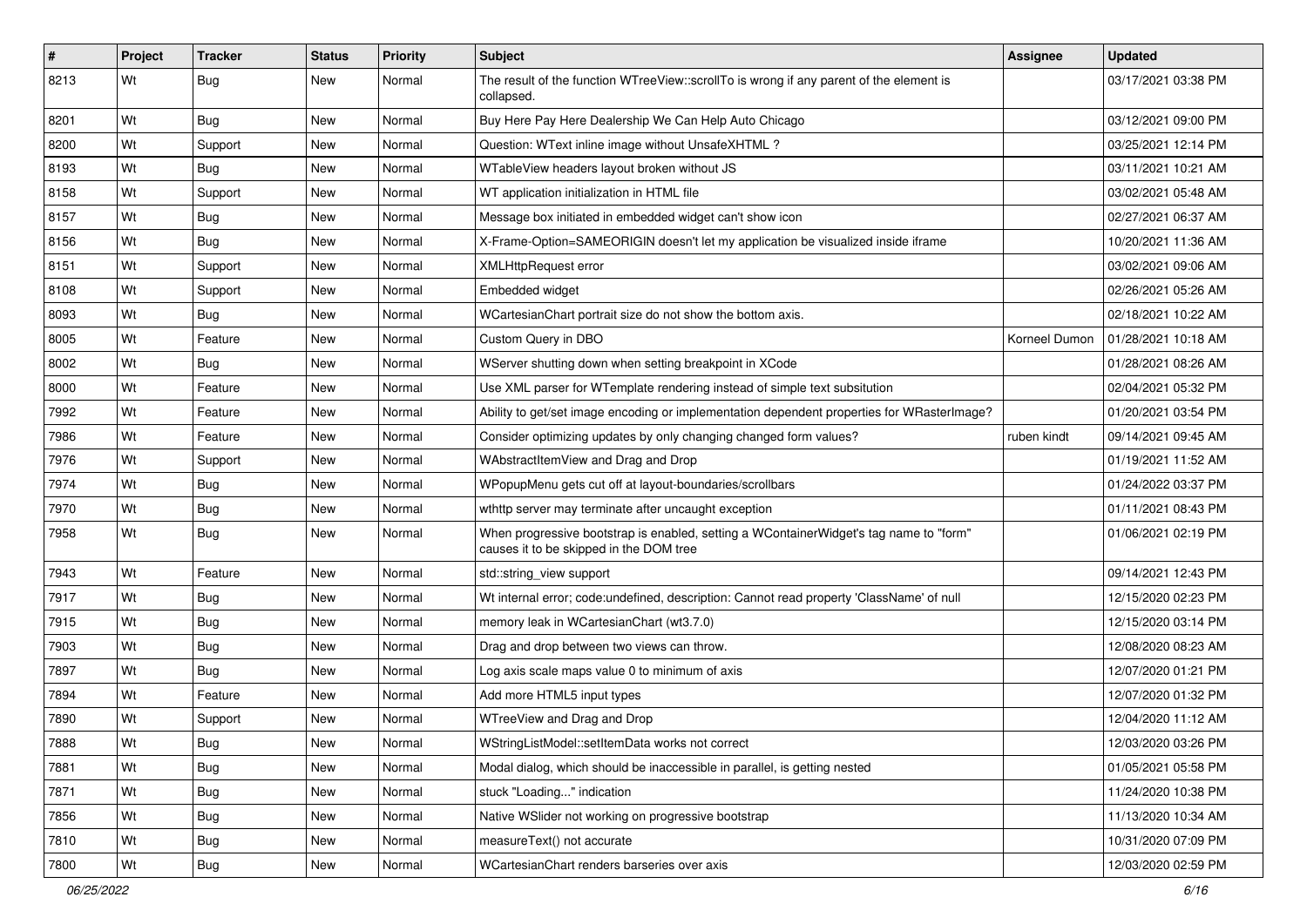| $\vert$ # | Project | <b>Tracker</b> | <b>Status</b> | <b>Priority</b> | <b>Subject</b>                                                                                                                    | <b>Assignee</b> | <b>Updated</b>      |
|-----------|---------|----------------|---------------|-----------------|-----------------------------------------------------------------------------------------------------------------------------------|-----------------|---------------------|
| 8213      | Wt      | Bug            | New           | Normal          | The result of the function WTreeView::scrollTo is wrong if any parent of the element is<br>collapsed.                             |                 | 03/17/2021 03:38 PM |
| 8201      | Wt      | Bug            | <b>New</b>    | Normal          | Buy Here Pay Here Dealership We Can Help Auto Chicago                                                                             |                 | 03/12/2021 09:00 PM |
| 8200      | Wt      | Support        | New           | Normal          | Question: WText inline image without UnsafeXHTML?                                                                                 |                 | 03/25/2021 12:14 PM |
| 8193      | Wt      | Bug            | <b>New</b>    | Normal          | WTableView headers layout broken without JS                                                                                       |                 | 03/11/2021 10:21 AM |
| 8158      | Wt      | Support        | New           | Normal          | WT application initialization in HTML file                                                                                        |                 | 03/02/2021 05:48 AM |
| 8157      | Wt      | Bug            | <b>New</b>    | Normal          | Message box initiated in embedded widget can't show icon                                                                          |                 | 02/27/2021 06:37 AM |
| 8156      | Wt      | Bug            | <b>New</b>    | Normal          | X-Frame-Option=SAMEORIGIN doesn't let my application be visualized inside iframe                                                  |                 | 10/20/2021 11:36 AM |
| 8151      | Wt      | Support        | New           | Normal          | <b>XMLHttpRequest error</b>                                                                                                       |                 | 03/02/2021 09:06 AM |
| 8108      | Wt      | Support        | <b>New</b>    | Normal          | Embedded widget                                                                                                                   |                 | 02/26/2021 05:26 AM |
| 8093      | Wt      | Bug            | New           | Normal          | WCartesianChart portrait size do not show the bottom axis.                                                                        |                 | 02/18/2021 10:22 AM |
| 8005      | Wt      | Feature        | <b>New</b>    | Normal          | Custom Query in DBO                                                                                                               | Korneel Dumon   | 01/28/2021 10:18 AM |
| 8002      | Wt      | Bug            | <b>New</b>    | Normal          | WServer shutting down when setting breakpoint in XCode                                                                            |                 | 01/28/2021 08:26 AM |
| 8000      | Wt      | Feature        | New           | Normal          | Use XML parser for WTemplate rendering instead of simple text subsitution                                                         |                 | 02/04/2021 05:32 PM |
| 7992      | Wt      | Feature        | <b>New</b>    | Normal          | Ability to get/set image encoding or implementation dependent properties for WRasterImage?                                        |                 | 01/20/2021 03:54 PM |
| 7986      | Wt      | Feature        | New           | Normal          | Consider optimizing updates by only changing changed form values?                                                                 | ruben kindt     | 09/14/2021 09:45 AM |
| 7976      | Wt      | Support        | <b>New</b>    | Normal          | WAbstractItemView and Drag and Drop                                                                                               |                 | 01/19/2021 11:52 AM |
| 7974      | Wt      | Bug            | <b>New</b>    | Normal          | WPopupMenu gets cut off at layout-boundaries/scrollbars                                                                           |                 | 01/24/2022 03:37 PM |
| 7970      | Wt      | Bug            | New           | Normal          | wthttp server may terminate after uncaught exception                                                                              |                 | 01/11/2021 08:43 PM |
| 7958      | Wt      | Bug            | New           | Normal          | When progressive bootstrap is enabled, setting a WContainerWidget's tag name to "form"<br>causes it to be skipped in the DOM tree |                 | 01/06/2021 02:19 PM |
| 7943      | Wt      | Feature        | <b>New</b>    | Normal          | std::string_view support                                                                                                          |                 | 09/14/2021 12:43 PM |
| 7917      | Wt      | Bug            | <b>New</b>    | Normal          | Wt internal error; code:undefined, description: Cannot read property 'ClassName' of null                                          |                 | 12/15/2020 02:23 PM |
| 7915      | Wt      | <b>Bug</b>     | New           | Normal          | memory leak in WCartesianChart (wt3.7.0)                                                                                          |                 | 12/15/2020 03:14 PM |
| 7903      | Wt      | Bug            | <b>New</b>    | Normal          | Drag and drop between two views can throw.                                                                                        |                 | 12/08/2020 08:23 AM |
| 7897      | Wt      | Bug            | New           | Normal          | Log axis scale maps value 0 to minimum of axis                                                                                    |                 | 12/07/2020 01:21 PM |
| 7894      | Wt      | Feature        | New           | Normal          | Add more HTML5 input types                                                                                                        |                 | 12/07/2020 01:32 PM |
| 7890      | Wt      | Support        | New           | Normal          | WTreeView and Drag and Drop                                                                                                       |                 | 12/04/2020 11:12 AM |
| 7888      | Wt      | <b>Bug</b>     | New           | Normal          | WStringListModel::setItemData works not correct                                                                                   |                 | 12/03/2020 03:26 PM |
| 7881      | Wt      | <b>Bug</b>     | New           | Normal          | Modal dialog, which should be inaccessible in parallel, is getting nested                                                         |                 | 01/05/2021 05:58 PM |
| 7871      | Wt      | <b>Bug</b>     | <b>New</b>    | Normal          | stuck "Loading" indication                                                                                                        |                 | 11/24/2020 10:38 PM |
| 7856      | Wt      | <b>Bug</b>     | New           | Normal          | Native WSIider not working on progressive bootstrap                                                                               |                 | 11/13/2020 10:34 AM |
| 7810      | Wt      | <b>Bug</b>     | New           | Normal          | measureText() not accurate                                                                                                        |                 | 10/31/2020 07:09 PM |
| 7800      | Wt      | <b>Bug</b>     | New           | Normal          | WCartesianChart renders barseries over axis                                                                                       |                 | 12/03/2020 02:59 PM |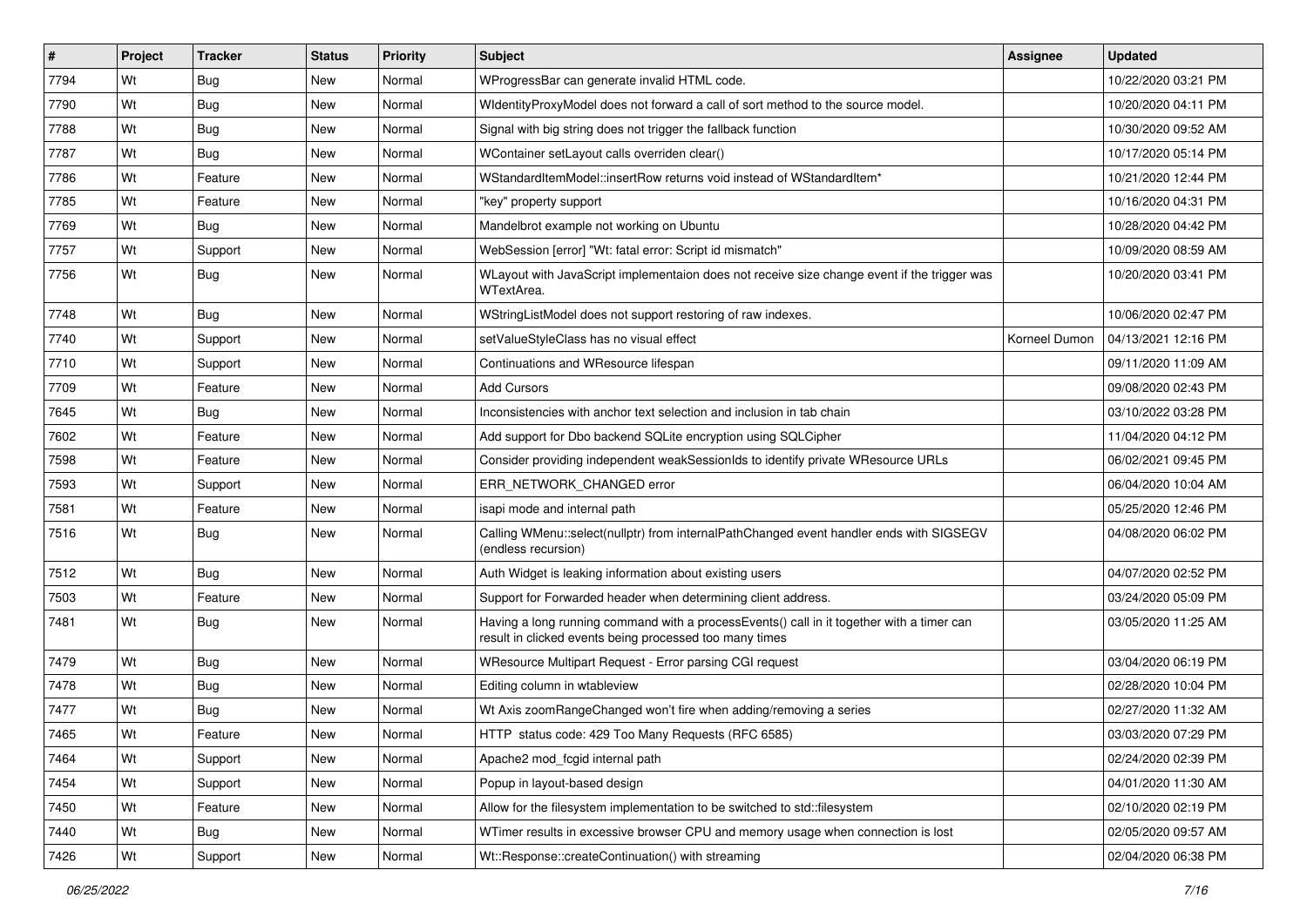| #    | Project | <b>Tracker</b> | <b>Status</b> | <b>Priority</b> | <b>Subject</b>                                                                                                                                       | <b>Assignee</b> | <b>Updated</b>      |
|------|---------|----------------|---------------|-----------------|------------------------------------------------------------------------------------------------------------------------------------------------------|-----------------|---------------------|
| 7794 | Wt      | <b>Bug</b>     | New           | Normal          | WProgressBar can generate invalid HTML code.                                                                                                         |                 | 10/22/2020 03:21 PM |
| 7790 | Wt      | <b>Bug</b>     | New           | Normal          | WidentityProxyModel does not forward a call of sort method to the source model.                                                                      |                 | 10/20/2020 04:11 PM |
| 7788 | Wt      | <b>Bug</b>     | New           | Normal          | Signal with big string does not trigger the fallback function                                                                                        |                 | 10/30/2020 09:52 AM |
| 7787 | Wt      | <b>Bug</b>     | <b>New</b>    | Normal          | WContainer setLayout calls overriden clear()                                                                                                         |                 | 10/17/2020 05:14 PM |
| 7786 | Wt      | Feature        | New           | Normal          | WStandardItemModel::insertRow returns void instead of WStandardItem*                                                                                 |                 | 10/21/2020 12:44 PM |
| 7785 | Wt      | Feature        | New           | Normal          | 'key" property support                                                                                                                               |                 | 10/16/2020 04:31 PM |
| 7769 | Wt      | Bug            | New           | Normal          | Mandelbrot example not working on Ubuntu                                                                                                             |                 | 10/28/2020 04:42 PM |
| 7757 | Wt      | Support        | New           | Normal          | WebSession [error] "Wt: fatal error: Script id mismatch"                                                                                             |                 | 10/09/2020 08:59 AM |
| 7756 | Wt      | Bug            | New           | Normal          | WLayout with JavaScript implementaion does not receive size change event if the trigger was<br>WTextArea.                                            |                 | 10/20/2020 03:41 PM |
| 7748 | Wt      | Bug            | New           | Normal          | WStringListModel does not support restoring of raw indexes.                                                                                          |                 | 10/06/2020 02:47 PM |
| 7740 | Wt      | Support        | New           | Normal          | setValueStyleClass has no visual effect                                                                                                              | Korneel Dumon   | 04/13/2021 12:16 PM |
| 7710 | Wt      | Support        | New           | Normal          | Continuations and WResource lifespan                                                                                                                 |                 | 09/11/2020 11:09 AM |
| 7709 | Wt      | Feature        | New           | Normal          | <b>Add Cursors</b>                                                                                                                                   |                 | 09/08/2020 02:43 PM |
| 7645 | Wt      | Bug            | New           | Normal          | Inconsistencies with anchor text selection and inclusion in tab chain                                                                                |                 | 03/10/2022 03:28 PM |
| 7602 | Wt      | Feature        | New           | Normal          | Add support for Dbo backend SQLite encryption using SQLCipher                                                                                        |                 | 11/04/2020 04:12 PM |
| 7598 | Wt      | Feature        | <b>New</b>    | Normal          | Consider providing independent weakSessionIds to identify private WResource URLs                                                                     |                 | 06/02/2021 09:45 PM |
| 7593 | Wt      | Support        | New           | Normal          | ERR_NETWORK_CHANGED error                                                                                                                            |                 | 06/04/2020 10:04 AM |
| 7581 | Wt      | Feature        | New           | Normal          | isapi mode and internal path                                                                                                                         |                 | 05/25/2020 12:46 PM |
| 7516 | Wt      | <b>Bug</b>     | New           | Normal          | Calling WMenu::select(nullptr) from internalPathChanged event handler ends with SIGSEGV<br>(endless recursion)                                       |                 | 04/08/2020 06:02 PM |
| 7512 | Wt      | Bug            | New           | Normal          | Auth Widget is leaking information about existing users                                                                                              |                 | 04/07/2020 02:52 PM |
| 7503 | Wt      | Feature        | <b>New</b>    | Normal          | Support for Forwarded header when determining client address.                                                                                        |                 | 03/24/2020 05:09 PM |
| 7481 | Wt      | Bug            | New           | Normal          | Having a long running command with a processEvents() call in it together with a timer can<br>result in clicked events being processed too many times |                 | 03/05/2020 11:25 AM |
| 7479 | Wt      | Bug            | New           | Normal          | WResource Multipart Request - Error parsing CGI request                                                                                              |                 | 03/04/2020 06:19 PM |
| 7478 | Wt      | <b>Bug</b>     | New           | Normal          | Editing column in wtableview                                                                                                                         |                 | 02/28/2020 10:04 PM |
| 7477 | Wt      | <b>Bug</b>     | New           | Normal          | Wt Axis zoomRangeChanged won't fire when adding/removing a series                                                                                    |                 | 02/27/2020 11:32 AM |
| 7465 | Wt      | Feature        | New           | Normal          | HTTP status code: 429 Too Many Requests (RFC 6585)                                                                                                   |                 | 03/03/2020 07:29 PM |
| 7464 | Wt      | Support        | New           | Normal          | Apache2 mod fcgid internal path                                                                                                                      |                 | 02/24/2020 02:39 PM |
| 7454 | Wt      | Support        | New           | Normal          | Popup in layout-based design                                                                                                                         |                 | 04/01/2020 11:30 AM |
| 7450 | Wt      | Feature        | New           | Normal          | Allow for the filesystem implementation to be switched to std::filesystem                                                                            |                 | 02/10/2020 02:19 PM |
| 7440 | Wt      | <b>Bug</b>     | New           | Normal          | WTimer results in excessive browser CPU and memory usage when connection is lost                                                                     |                 | 02/05/2020 09:57 AM |
| 7426 | Wt      | Support        | New           | Normal          | Wt::Response::createContinuation() with streaming                                                                                                    |                 | 02/04/2020 06:38 PM |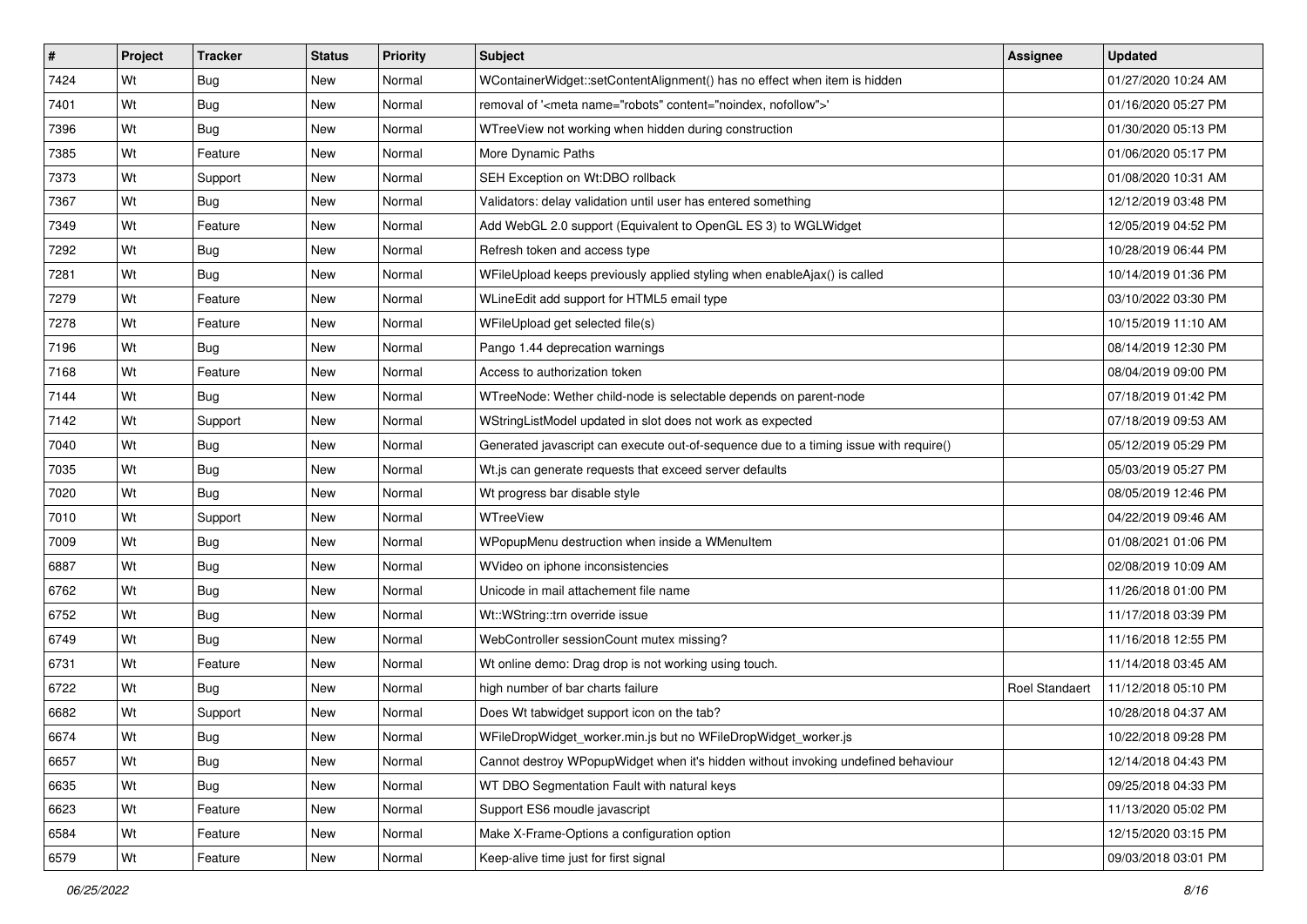| #    | Project | <b>Tracker</b> | <b>Status</b> | <b>Priority</b> | <b>Subject</b>                                                                        | <b>Assignee</b> | <b>Updated</b>      |
|------|---------|----------------|---------------|-----------------|---------------------------------------------------------------------------------------|-----------------|---------------------|
| 7424 | Wt      | <b>Bug</b>     | <b>New</b>    | Normal          | WContainerWidget::setContentAlignment() has no effect when item is hidden             |                 | 01/27/2020 10:24 AM |
| 7401 | Wt      | Bug            | New           | Normal          | removal of ' <meta content="noindex, nofollow" name="robots"/> '                      |                 | 01/16/2020 05:27 PM |
| 7396 | Wt      | Bug            | New           | Normal          | WTreeView not working when hidden during construction                                 |                 | 01/30/2020 05:13 PM |
| 7385 | Wt      | Feature        | New           | Normal          | More Dynamic Paths                                                                    |                 | 01/06/2020 05:17 PM |
| 7373 | Wt      | Support        | <b>New</b>    | Normal          | SEH Exception on Wt:DBO rollback                                                      |                 | 01/08/2020 10:31 AM |
| 7367 | Wt      | Bug            | New           | Normal          | Validators: delay validation until user has entered something                         |                 | 12/12/2019 03:48 PM |
| 7349 | Wt      | Feature        | New           | Normal          | Add WebGL 2.0 support (Equivalent to OpenGL ES 3) to WGLWidget                        |                 | 12/05/2019 04:52 PM |
| 7292 | Wt      | Bug            | <b>New</b>    | Normal          | Refresh token and access type                                                         |                 | 10/28/2019 06:44 PM |
| 7281 | Wt      | Bug            | <b>New</b>    | Normal          | WFileUpload keeps previously applied styling when enableAjax() is called              |                 | 10/14/2019 01:36 PM |
| 7279 | Wt      | Feature        | <b>New</b>    | Normal          | WLineEdit add support for HTML5 email type                                            |                 | 03/10/2022 03:30 PM |
| 7278 | Wt      | Feature        | New           | Normal          | WFileUpload get selected file(s)                                                      |                 | 10/15/2019 11:10 AM |
| 7196 | Wt      | <b>Bug</b>     | New           | Normal          | Pango 1.44 deprecation warnings                                                       |                 | 08/14/2019 12:30 PM |
| 7168 | Wt      | Feature        | New           | Normal          | Access to authorization token                                                         |                 | 08/04/2019 09:00 PM |
| 7144 | Wt      | Bug            | New           | Normal          | WTreeNode: Wether child-node is selectable depends on parent-node                     |                 | 07/18/2019 01:42 PM |
| 7142 | Wt      | Support        | New           | Normal          | WStringListModel updated in slot does not work as expected                            |                 | 07/18/2019 09:53 AM |
| 7040 | Wt      | <b>Bug</b>     | New           | Normal          | Generated javascript can execute out-of-sequence due to a timing issue with require() |                 | 05/12/2019 05:29 PM |
| 7035 | Wt      | Bug            | New           | Normal          | Wt.js can generate requests that exceed server defaults                               |                 | 05/03/2019 05:27 PM |
| 7020 | Wt      | Bug            | New           | Normal          | Wt progress bar disable style                                                         |                 | 08/05/2019 12:46 PM |
| 7010 | Wt      | Support        | New           | Normal          | WTreeView                                                                             |                 | 04/22/2019 09:46 AM |
| 7009 | Wt      | Bug            | New           | Normal          | WPopupMenu destruction when inside a WMenuItem                                        |                 | 01/08/2021 01:06 PM |
| 6887 | Wt      | Bug            | <b>New</b>    | Normal          | WVideo on iphone inconsistencies                                                      |                 | 02/08/2019 10:09 AM |
| 6762 | Wt      | Bug            | New           | Normal          | Unicode in mail attachement file name                                                 |                 | 11/26/2018 01:00 PM |
| 6752 | Wt      | Bug            | <b>New</b>    | Normal          | Wt::WString::trn override issue                                                       |                 | 11/17/2018 03:39 PM |
| 6749 | Wt      | Bug            | New           | Normal          | WebController sessionCount mutex missing?                                             |                 | 11/16/2018 12:55 PM |
| 6731 | Wt      | Feature        | New           | Normal          | Wt online demo: Drag drop is not working using touch.                                 |                 | 11/14/2018 03:45 AM |
| 6722 | Wt      | Bug            | <b>New</b>    | Normal          | high number of bar charts failure                                                     | Roel Standaert  | 11/12/2018 05:10 PM |
| 6682 | Wt      | Support        | New           | Normal          | Does Wt tabwidget support icon on the tab?                                            |                 | 10/28/2018 04:37 AM |
| 6674 | Wt      | <b>Bug</b>     | New           | Normal          | WFileDropWidget_worker.min.js but no WFileDropWidget_worker.js                        |                 | 10/22/2018 09:28 PM |
| 6657 | Wt      | <b>Bug</b>     | New           | Normal          | Cannot destroy WPopupWidget when it's hidden without invoking undefined behaviour     |                 | 12/14/2018 04:43 PM |
| 6635 | Wt      | <b>Bug</b>     | New           | Normal          | WT DBO Segmentation Fault with natural keys                                           |                 | 09/25/2018 04:33 PM |
| 6623 | Wt      | Feature        | New           | Normal          | Support ES6 moudle javascript                                                         |                 | 11/13/2020 05:02 PM |
| 6584 | Wt      | Feature        | New           | Normal          | Make X-Frame-Options a configuration option                                           |                 | 12/15/2020 03:15 PM |
| 6579 | Wt      | Feature        | New           | Normal          | Keep-alive time just for first signal                                                 |                 | 09/03/2018 03:01 PM |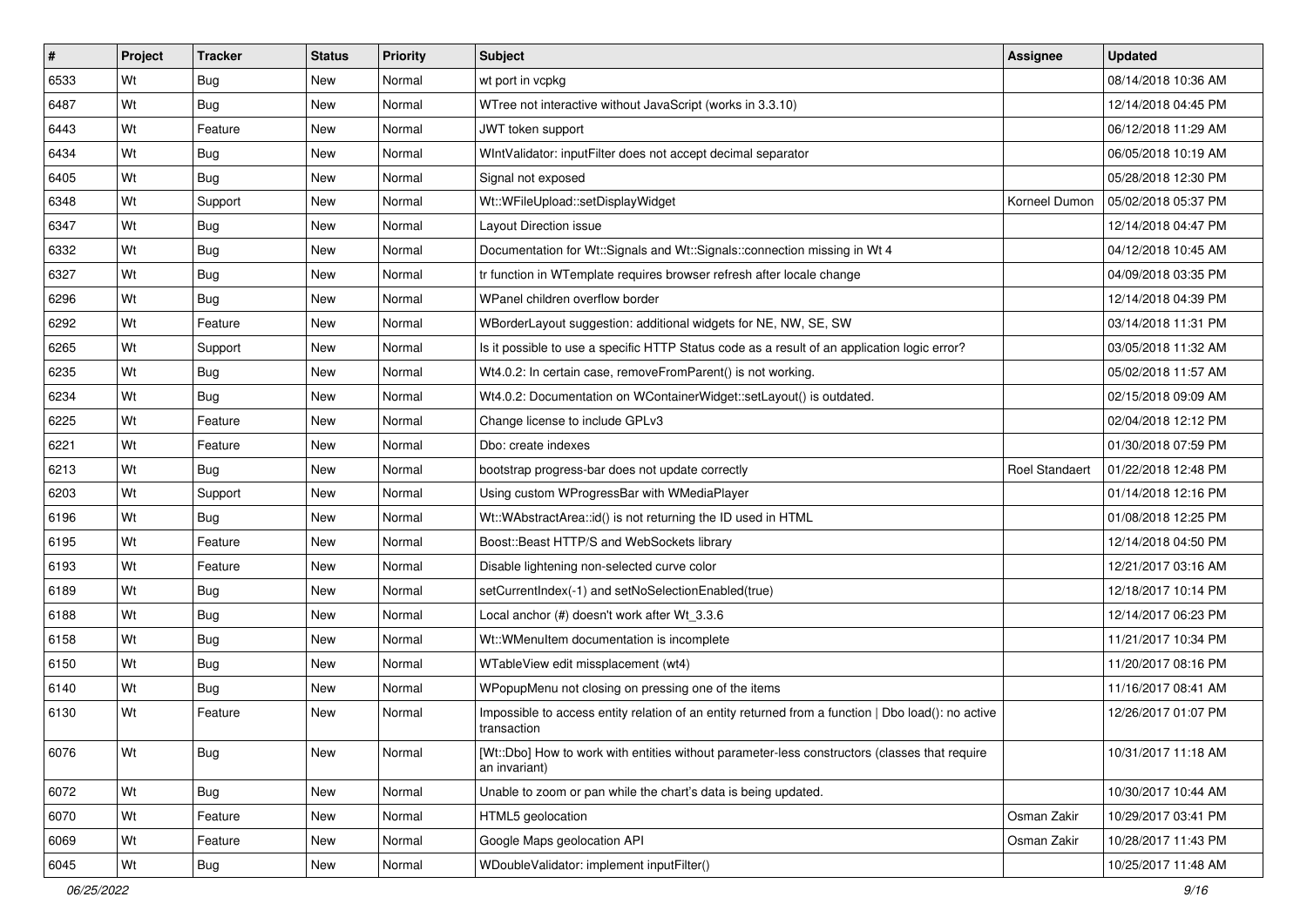| $\vert$ # | Project | <b>Tracker</b> | <b>Status</b> | <b>Priority</b> | <b>Subject</b>                                                                                                    | <b>Assignee</b>       | <b>Updated</b>      |
|-----------|---------|----------------|---------------|-----------------|-------------------------------------------------------------------------------------------------------------------|-----------------------|---------------------|
| 6533      | Wt      | Bug            | New           | Normal          | wt port in vcpkg                                                                                                  |                       | 08/14/2018 10:36 AM |
| 6487      | Wt      | Bug            | New           | Normal          | WTree not interactive without JavaScript (works in 3.3.10)                                                        |                       | 12/14/2018 04:45 PM |
| 6443      | Wt      | Feature        | New           | Normal          | JWT token support                                                                                                 |                       | 06/12/2018 11:29 AM |
| 6434      | Wt      | Bug            | <b>New</b>    | Normal          | WIntValidator: inputFilter does not accept decimal separator                                                      |                       | 06/05/2018 10:19 AM |
| 6405      | Wt      | <b>Bug</b>     | New           | Normal          | Signal not exposed                                                                                                |                       | 05/28/2018 12:30 PM |
| 6348      | Wt      | Support        | New           | Normal          | Wt::WFileUpload::setDisplayWidget                                                                                 | Korneel Dumon         | 05/02/2018 05:37 PM |
| 6347      | Wt      | <b>Bug</b>     | New           | Normal          | Layout Direction issue                                                                                            |                       | 12/14/2018 04:47 PM |
| 6332      | Wt      | Bug            | New           | Normal          | Documentation for Wt::Signals and Wt::Signals::connection missing in Wt 4                                         |                       | 04/12/2018 10:45 AM |
| 6327      | Wt      | Bug            | New           | Normal          | tr function in WTemplate requires browser refresh after locale change                                             |                       | 04/09/2018 03:35 PM |
| 6296      | Wt      | <b>Bug</b>     | <b>New</b>    | Normal          | WPanel children overflow border                                                                                   |                       | 12/14/2018 04:39 PM |
| 6292      | Wt      | Feature        | New           | Normal          | WBorderLayout suggestion: additional widgets for NE, NW, SE, SW                                                   |                       | 03/14/2018 11:31 PM |
| 6265      | Wt      | Support        | New           | Normal          | Is it possible to use a specific HTTP Status code as a result of an application logic error?                      |                       | 03/05/2018 11:32 AM |
| 6235      | Wt      | Bug            | New           | Normal          | Wt4.0.2: In certain case, removeFromParent() is not working.                                                      |                       | 05/02/2018 11:57 AM |
| 6234      | Wt      | Bug            | New           | Normal          | Wt4.0.2: Documentation on WContainerWidget::setLayout() is outdated.                                              |                       | 02/15/2018 09:09 AM |
| 6225      | Wt      | Feature        | <b>New</b>    | Normal          | Change license to include GPLv3                                                                                   |                       | 02/04/2018 12:12 PM |
| 6221      | Wt      | Feature        | New           | Normal          | Dbo: create indexes                                                                                               |                       | 01/30/2018 07:59 PM |
| 6213      | Wt      | Bug            | <b>New</b>    | Normal          | bootstrap progress-bar does not update correctly                                                                  | <b>Roel Standaert</b> | 01/22/2018 12:48 PM |
| 6203      | Wt      | Support        | <b>New</b>    | Normal          | Using custom WProgressBar with WMediaPlayer                                                                       |                       | 01/14/2018 12:16 PM |
| 6196      | Wt      | Bug            | New           | Normal          | Wt::WAbstractArea::id() is not returning the ID used in HTML                                                      |                       | 01/08/2018 12:25 PM |
| 6195      | Wt      | Feature        | <b>New</b>    | Normal          | Boost::Beast HTTP/S and WebSockets library                                                                        |                       | 12/14/2018 04:50 PM |
| 6193      | Wt      | Feature        | New           | Normal          | Disable lightening non-selected curve color                                                                       |                       | 12/21/2017 03:16 AM |
| 6189      | Wt      | Bug            | New           | Normal          | setCurrentIndex(-1) and setNoSelectionEnabled(true)                                                               |                       | 12/18/2017 10:14 PM |
| 6188      | Wt      | <b>Bug</b>     | <b>New</b>    | Normal          | Local anchor (#) doesn't work after Wt_3.3.6                                                                      |                       | 12/14/2017 06:23 PM |
| 6158      | Wt      | Bug            | New           | Normal          | Wt:: WMenuItem documentation is incomplete                                                                        |                       | 11/21/2017 10:34 PM |
| 6150      | Wt      | Bug            | New           | Normal          | WTableView edit missplacement (wt4)                                                                               |                       | 11/20/2017 08:16 PM |
| 6140      | Wt      | Bug            | New           | Normal          | WPopupMenu not closing on pressing one of the items                                                               |                       | 11/16/2017 08:41 AM |
| 6130      | Wt      | Feature        | New           | Normal          | Impossible to access entity relation of an entity returned from a function   Dbo load(): no active<br>transaction |                       | 12/26/2017 01:07 PM |
| 6076      | Wt      | Bug            | New           | Normal          | [Wt::Dbo] How to work with entities without parameter-less constructors (classes that require<br>an invariant)    |                       | 10/31/2017 11:18 AM |
| 6072      | Wt      | <b>Bug</b>     | New           | Normal          | Unable to zoom or pan while the chart's data is being updated.                                                    |                       | 10/30/2017 10:44 AM |
| 6070      | Wt      | Feature        | New           | Normal          | HTML5 geolocation                                                                                                 | Osman Zakir           | 10/29/2017 03:41 PM |
| 6069      | Wt      | Feature        | New           | Normal          | Google Maps geolocation API                                                                                       | Osman Zakir           | 10/28/2017 11:43 PM |
| 6045      | Wt      | Bug            | New           | Normal          | WDoubleValidator: implement inputFilter()                                                                         |                       | 10/25/2017 11:48 AM |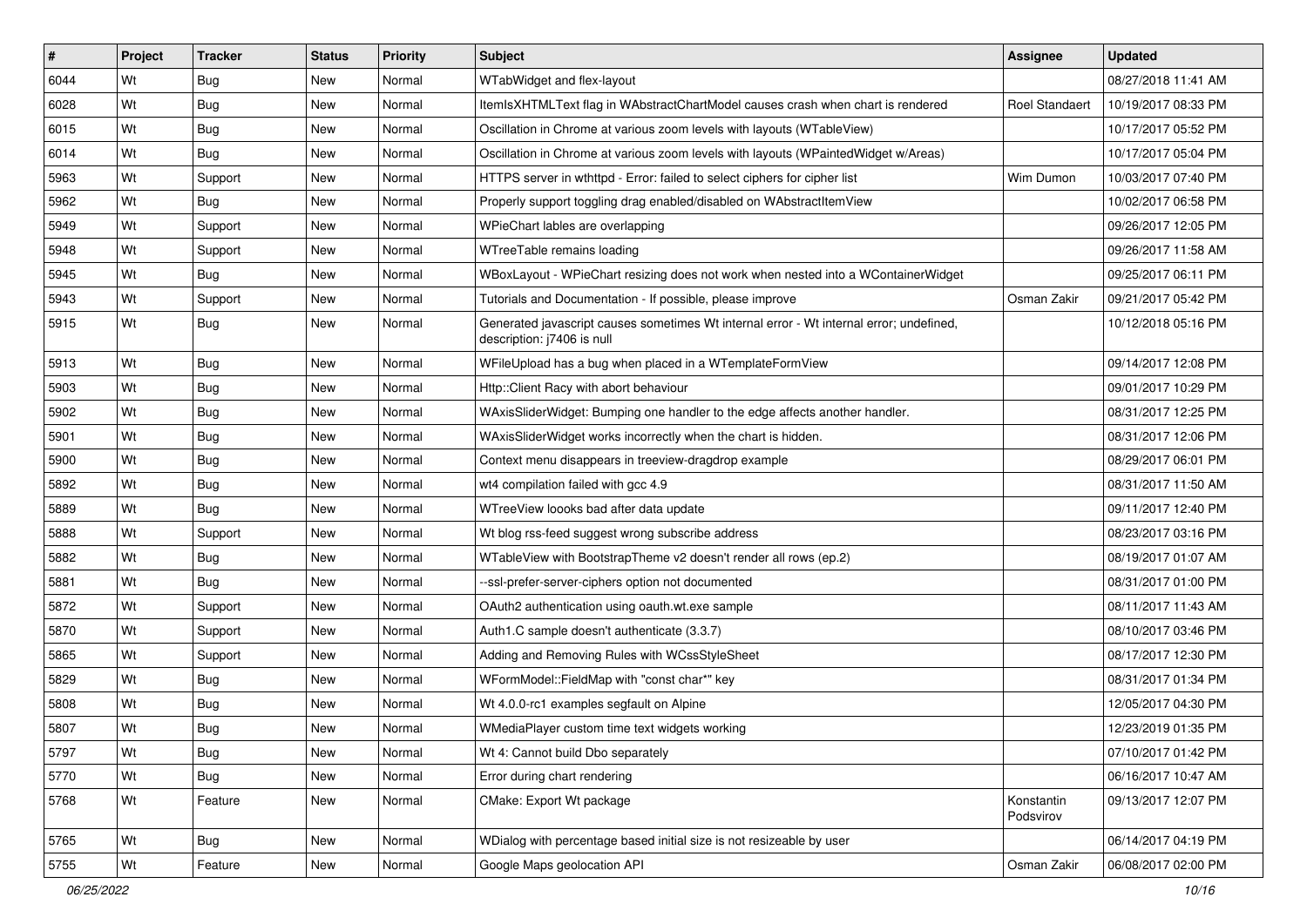| #    | Project | <b>Tracker</b> | <b>Status</b> | <b>Priority</b> | Subject                                                                                                               | <b>Assignee</b>         | <b>Updated</b>      |
|------|---------|----------------|---------------|-----------------|-----------------------------------------------------------------------------------------------------------------------|-------------------------|---------------------|
| 6044 | Wt      | <b>Bug</b>     | <b>New</b>    | Normal          | WTabWidget and flex-layout                                                                                            |                         | 08/27/2018 11:41 AM |
| 6028 | Wt      | <b>Bug</b>     | New           | Normal          | ItemIsXHTMLText flag in WAbstractChartModel causes crash when chart is rendered                                       | Roel Standaert          | 10/19/2017 08:33 PM |
| 6015 | Wt      | Bug            | New           | Normal          | Oscillation in Chrome at various zoom levels with layouts (WTableView)                                                |                         | 10/17/2017 05:52 PM |
| 6014 | Wt      | Bug            | <b>New</b>    | Normal          | Oscillation in Chrome at various zoom levels with layouts (WPaintedWidget w/Areas)                                    |                         | 10/17/2017 05:04 PM |
| 5963 | Wt      | Support        | New           | Normal          | HTTPS server in wthttpd - Error: failed to select ciphers for cipher list                                             | Wim Dumon               | 10/03/2017 07:40 PM |
| 5962 | Wt      | Bug            | New           | Normal          | Properly support toggling drag enabled/disabled on WAbstractItemView                                                  |                         | 10/02/2017 06:58 PM |
| 5949 | Wt      | Support        | New           | Normal          | WPieChart lables are overlapping                                                                                      |                         | 09/26/2017 12:05 PM |
| 5948 | Wt      | Support        | New           | Normal          | WTreeTable remains loading                                                                                            |                         | 09/26/2017 11:58 AM |
| 5945 | Wt      | Bug            | New           | Normal          | WBoxLayout - WPieChart resizing does not work when nested into a WContainerWidget                                     |                         | 09/25/2017 06:11 PM |
| 5943 | Wt      | Support        | <b>New</b>    | Normal          | Tutorials and Documentation - If possible, please improve                                                             | Osman Zakir             | 09/21/2017 05:42 PM |
| 5915 | Wt      | Bug            | New           | Normal          | Generated javascript causes sometimes Wt internal error - Wt internal error; undefined,<br>description: j7406 is null |                         | 10/12/2018 05:16 PM |
| 5913 | Wt      | <b>Bug</b>     | New           | Normal          | WFileUpload has a bug when placed in a WTemplateFormView                                                              |                         | 09/14/2017 12:08 PM |
| 5903 | Wt      | Bug            | New           | Normal          | Http:: Client Racy with abort behaviour                                                                               |                         | 09/01/2017 10:29 PM |
| 5902 | Wt      | Bug            | New           | Normal          | WAxisSliderWidget: Bumping one handler to the edge affects another handler.                                           |                         | 08/31/2017 12:25 PM |
| 5901 | Wt      | Bug            | New           | Normal          | WAxisSliderWidget works incorrectly when the chart is hidden.                                                         |                         | 08/31/2017 12:06 PM |
| 5900 | Wt      | Bug            | New           | Normal          | Context menu disappears in treeview-dragdrop example                                                                  |                         | 08/29/2017 06:01 PM |
| 5892 | Wt      | <b>Bug</b>     | <b>New</b>    | Normal          | wt4 compilation failed with gcc 4.9                                                                                   |                         | 08/31/2017 11:50 AM |
| 5889 | Wt      | Bug            | New           | Normal          | WTreeView loooks bad after data update                                                                                |                         | 09/11/2017 12:40 PM |
| 5888 | Wt      | Support        | New           | Normal          | Wt blog rss-feed suggest wrong subscribe address                                                                      |                         | 08/23/2017 03:16 PM |
| 5882 | Wt      | Bug            | <b>New</b>    | Normal          | WTableView with BootstrapTheme v2 doesn't render all rows (ep.2)                                                      |                         | 08/19/2017 01:07 AM |
| 5881 | Wt      | Bug            | New           | Normal          | --ssl-prefer-server-ciphers option not documented                                                                     |                         | 08/31/2017 01:00 PM |
| 5872 | Wt      | Support        | <b>New</b>    | Normal          | OAuth2 authentication using oauth.wt.exe sample                                                                       |                         | 08/11/2017 11:43 AM |
| 5870 | Wt      | Support        | New           | Normal          | Auth1.C sample doesn't authenticate (3.3.7)                                                                           |                         | 08/10/2017 03:46 PM |
| 5865 | Wt      | Support        | <b>New</b>    | Normal          | Adding and Removing Rules with WCssStyleSheet                                                                         |                         | 08/17/2017 12:30 PM |
| 5829 | Wt      | <b>Bug</b>     | New           | Normal          | WFormModel::FieldMap with "const char*" key                                                                           |                         | 08/31/2017 01:34 PM |
| 5808 | Wt      | <b>Bug</b>     | New           | Normal          | Wt 4.0.0-rc1 examples segfault on Alpine                                                                              |                         | 12/05/2017 04:30 PM |
| 5807 | Wt      | Bug            | New           | Normal          | WMediaPlayer custom time text widgets working                                                                         |                         | 12/23/2019 01:35 PM |
| 5797 | Wt      | <b>Bug</b>     | New           | Normal          | Wt 4: Cannot build Dbo separately                                                                                     |                         | 07/10/2017 01:42 PM |
| 5770 | Wt      | <b>Bug</b>     | New           | Normal          | Error during chart rendering                                                                                          |                         | 06/16/2017 10:47 AM |
| 5768 | Wt      | Feature        | New           | Normal          | CMake: Export Wt package                                                                                              | Konstantin<br>Podsvirov | 09/13/2017 12:07 PM |
| 5765 | Wt      | Bug            | New           | Normal          | WDialog with percentage based initial size is not resizeable by user                                                  |                         | 06/14/2017 04:19 PM |
| 5755 | Wt      | Feature        | New           | Normal          | Google Maps geolocation API                                                                                           | Osman Zakir             | 06/08/2017 02:00 PM |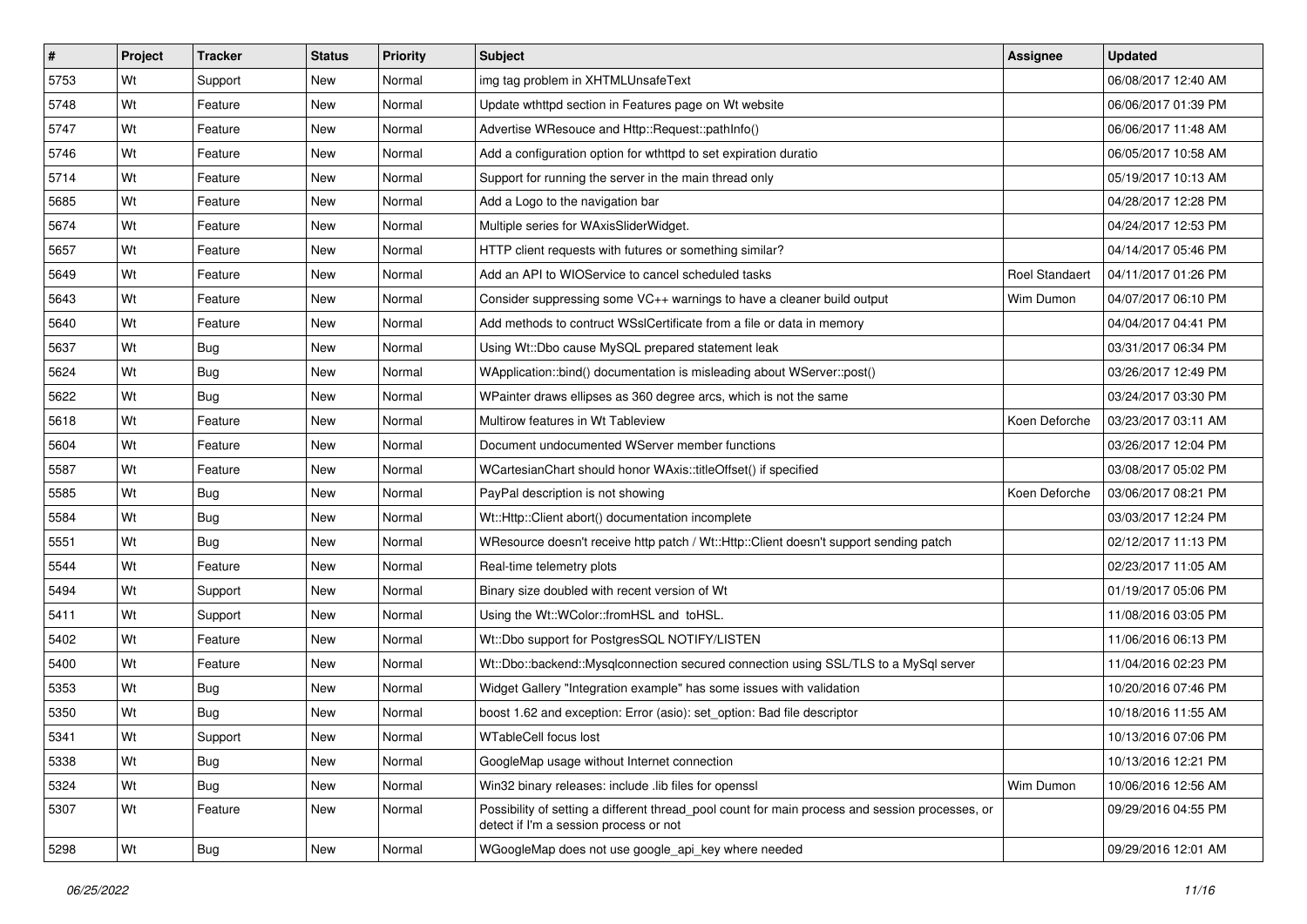| $\sharp$ | Project | <b>Tracker</b> | <b>Status</b> | <b>Priority</b> | <b>Subject</b>                                                                                                                            | <b>Assignee</b>       | <b>Updated</b>      |
|----------|---------|----------------|---------------|-----------------|-------------------------------------------------------------------------------------------------------------------------------------------|-----------------------|---------------------|
| 5753     | Wt      | Support        | New           | Normal          | img tag problem in XHTMLUnsafeText                                                                                                        |                       | 06/08/2017 12:40 AM |
| 5748     | Wt      | Feature        | <b>New</b>    | Normal          | Update wthttpd section in Features page on Wt website                                                                                     |                       | 06/06/2017 01:39 PM |
| 5747     | Wt      | Feature        | New           | Normal          | Advertise WResouce and Http::Request::pathInfo()                                                                                          |                       | 06/06/2017 11:48 AM |
| 5746     | Wt      | Feature        | New           | Normal          | Add a configuration option for wthttpd to set expiration duratio                                                                          |                       | 06/05/2017 10:58 AM |
| 5714     | Wt      | Feature        | <b>New</b>    | Normal          | Support for running the server in the main thread only                                                                                    |                       | 05/19/2017 10:13 AM |
| 5685     | Wt      | Feature        | New           | Normal          | Add a Logo to the navigation bar                                                                                                          |                       | 04/28/2017 12:28 PM |
| 5674     | Wt      | Feature        | <b>New</b>    | Normal          | Multiple series for WAxisSliderWidget.                                                                                                    |                       | 04/24/2017 12:53 PM |
| 5657     | Wt      | Feature        | New           | Normal          | HTTP client requests with futures or something similar?                                                                                   |                       | 04/14/2017 05:46 PM |
| 5649     | Wt      | Feature        | New           | Normal          | Add an API to WIOService to cancel scheduled tasks                                                                                        | <b>Roel Standaert</b> | 04/11/2017 01:26 PM |
| 5643     | Wt      | Feature        | New           | Normal          | Consider suppressing some VC++ warnings to have a cleaner build output                                                                    | Wim Dumon             | 04/07/2017 06:10 PM |
| 5640     | Wt      | Feature        | New           | Normal          | Add methods to contruct WSslCertificate from a file or data in memory                                                                     |                       | 04/04/2017 04:41 PM |
| 5637     | Wt      | Bug            | New           | Normal          | Using Wt::Dbo cause MySQL prepared statement leak                                                                                         |                       | 03/31/2017 06:34 PM |
| 5624     | Wt      | Bug            | New           | Normal          | WApplication::bind() documentation is misleading about WServer::post()                                                                    |                       | 03/26/2017 12:49 PM |
| 5622     | Wt      | <b>Bug</b>     | New           | Normal          | WPainter draws ellipses as 360 degree arcs, which is not the same                                                                         |                       | 03/24/2017 03:30 PM |
| 5618     | Wt      | Feature        | New           | Normal          | Multirow features in Wt Tableview                                                                                                         | Koen Deforche         | 03/23/2017 03:11 AM |
| 5604     | Wt      | Feature        | <b>New</b>    | Normal          | Document undocumented WServer member functions                                                                                            |                       | 03/26/2017 12:04 PM |
| 5587     | Wt      | Feature        | New           | Normal          | WCartesianChart should honor WAxis::titleOffset() if specified                                                                            |                       | 03/08/2017 05:02 PM |
| 5585     | Wt      | <b>Bug</b>     | New           | Normal          | PayPal description is not showing                                                                                                         | Koen Deforche         | 03/06/2017 08:21 PM |
| 5584     | Wt      | Bug            | New           | Normal          | Wt::Http::Client abort() documentation incomplete                                                                                         |                       | 03/03/2017 12:24 PM |
| 5551     | Wt      | Bug            | New           | Normal          | WResource doesn't receive http patch / Wt::Http::Client doesn't support sending patch                                                     |                       | 02/12/2017 11:13 PM |
| 5544     | Wt      | Feature        | New           | Normal          | Real-time telemetry plots                                                                                                                 |                       | 02/23/2017 11:05 AM |
| 5494     | Wt      | Support        | New           | Normal          | Binary size doubled with recent version of Wt                                                                                             |                       | 01/19/2017 05:06 PM |
| 5411     | Wt      | Support        | <b>New</b>    | Normal          | Using the Wt::WColor::fromHSL and toHSL.                                                                                                  |                       | 11/08/2016 03:05 PM |
| 5402     | Wt      | Feature        | New           | Normal          | Wt::Dbo support for PostgresSQL NOTIFY/LISTEN                                                                                             |                       | 11/06/2016 06:13 PM |
| 5400     | Wt      | Feature        | New           | Normal          | Wt::Dbo::backend::Mysqlconnection secured connection using SSL/TLS to a MySql server                                                      |                       | 11/04/2016 02:23 PM |
| 5353     | Wt      | Bug            | New           | Normal          | Widget Gallery "Integration example" has some issues with validation                                                                      |                       | 10/20/2016 07:46 PM |
| 5350     | Wt      | <b>Bug</b>     | New           | Normal          | boost 1.62 and exception: Error (asio): set option: Bad file descriptor                                                                   |                       | 10/18/2016 11:55 AM |
| 5341     | Wt      | Support        | New           | Normal          | WTableCell focus lost                                                                                                                     |                       | 10/13/2016 07:06 PM |
| 5338     | Wt      | <b>Bug</b>     | New           | Normal          | GoogleMap usage without Internet connection                                                                                               |                       | 10/13/2016 12:21 PM |
| 5324     | Wt      | Bug            | New           | Normal          | Win32 binary releases: include .lib files for openssl                                                                                     | Wim Dumon             | 10/06/2016 12:56 AM |
| 5307     | Wt      | Feature        | New           | Normal          | Possibility of setting a different thread pool count for main process and session processes, or<br>detect if I'm a session process or not |                       | 09/29/2016 04:55 PM |
| 5298     | Wt      | Bug            | New           | Normal          | WGoogleMap does not use google_api_key where needed                                                                                       |                       | 09/29/2016 12:01 AM |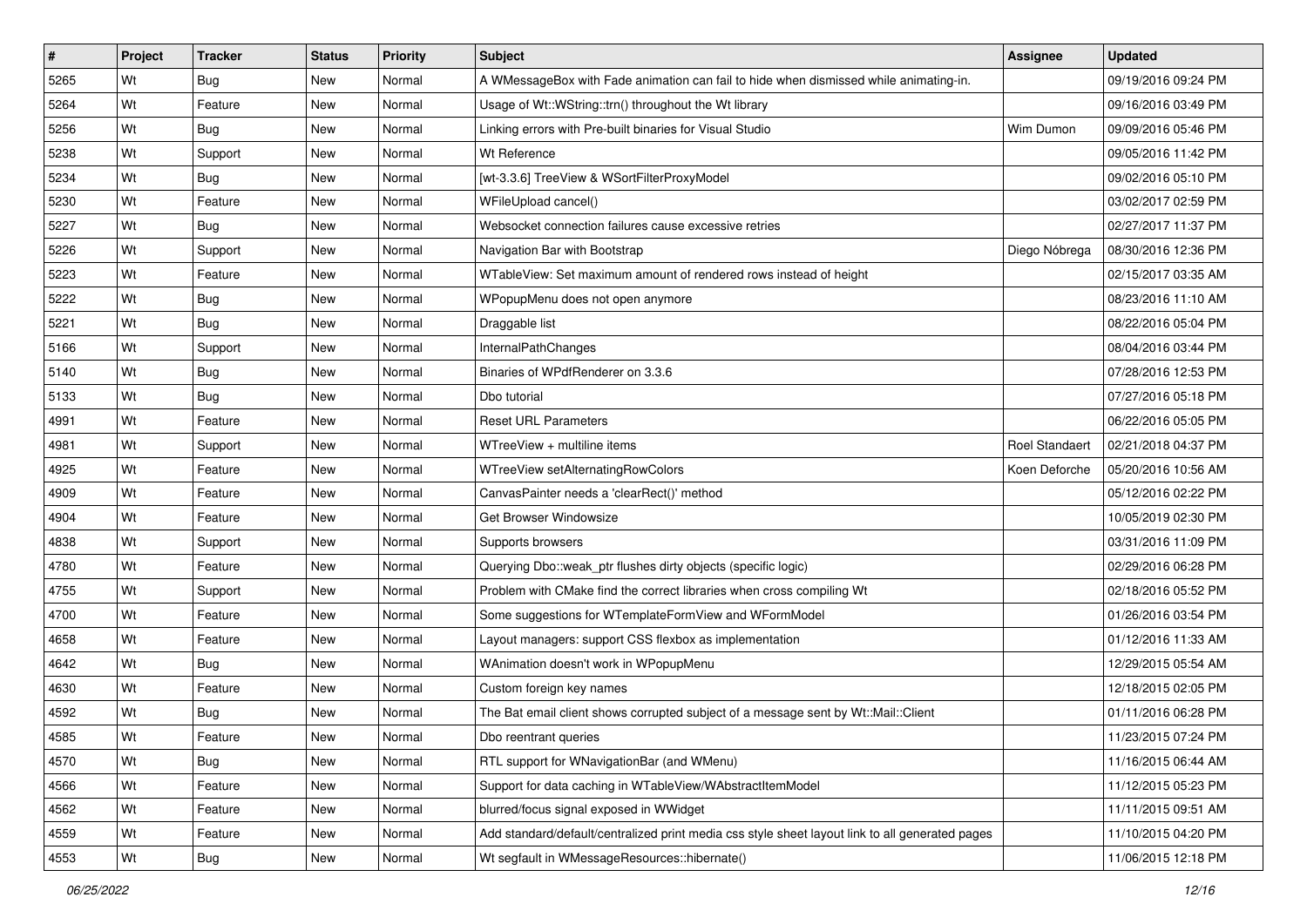| #    | Project | <b>Tracker</b> | <b>Status</b> | <b>Priority</b> | <b>Subject</b>                                                                                  | <b>Assignee</b> | <b>Updated</b>      |
|------|---------|----------------|---------------|-----------------|-------------------------------------------------------------------------------------------------|-----------------|---------------------|
| 5265 | Wt      | Bug            | New           | Normal          | A WMessageBox with Fade animation can fail to hide when dismissed while animating-in.           |                 | 09/19/2016 09:24 PM |
| 5264 | Wt      | Feature        | <b>New</b>    | Normal          | Usage of Wt::WString::trn() throughout the Wt library                                           |                 | 09/16/2016 03:49 PM |
| 5256 | Wt      | Bug            | New           | Normal          | Linking errors with Pre-built binaries for Visual Studio                                        | Wim Dumon       | 09/09/2016 05:46 PM |
| 5238 | Wt      | Support        | <b>New</b>    | Normal          | Wt Reference                                                                                    |                 | 09/05/2016 11:42 PM |
| 5234 | Wt      | <b>Bug</b>     | <b>New</b>    | Normal          | [wt-3.3.6] TreeView & WSortFilterProxyModel                                                     |                 | 09/02/2016 05:10 PM |
| 5230 | Wt      | Feature        | <b>New</b>    | Normal          | WFileUpload cancel()                                                                            |                 | 03/02/2017 02:59 PM |
| 5227 | Wt      | Bug            | New           | Normal          | Websocket connection failures cause excessive retries                                           |                 | 02/27/2017 11:37 PM |
| 5226 | Wt      | Support        | New           | Normal          | Navigation Bar with Bootstrap                                                                   | Diego Nóbrega   | 08/30/2016 12:36 PM |
| 5223 | Wt      | Feature        | <b>New</b>    | Normal          | WTableView: Set maximum amount of rendered rows instead of height                               |                 | 02/15/2017 03:35 AM |
| 5222 | Wt      | <b>Bug</b>     | New           | Normal          | WPopupMenu does not open anymore                                                                |                 | 08/23/2016 11:10 AM |
| 5221 | Wt      | Bug            | New           | Normal          | Draggable list                                                                                  |                 | 08/22/2016 05:04 PM |
| 5166 | Wt      | Support        | New           | Normal          | InternalPathChanges                                                                             |                 | 08/04/2016 03:44 PM |
| 5140 | Wt      | Bug            | <b>New</b>    | Normal          | Binaries of WPdfRenderer on 3.3.6                                                               |                 | 07/28/2016 12:53 PM |
| 5133 | Wt      | Bug            | New           | Normal          | Dbo tutorial                                                                                    |                 | 07/27/2016 05:18 PM |
| 4991 | Wt      | Feature        | <b>New</b>    | Normal          | <b>Reset URL Parameters</b>                                                                     |                 | 06/22/2016 05:05 PM |
| 4981 | Wt      | Support        | New           | Normal          | WTreeView + multiline items                                                                     | Roel Standaert  | 02/21/2018 04:37 PM |
| 4925 | Wt      | Feature        | <b>New</b>    | Normal          | WTreeView setAlternatingRowColors                                                               | Koen Deforche   | 05/20/2016 10:56 AM |
| 4909 | Wt      | Feature        | <b>New</b>    | Normal          | CanvasPainter needs a 'clearRect()' method                                                      |                 | 05/12/2016 02:22 PM |
| 4904 | Wt      | Feature        | New           | Normal          | Get Browser Windowsize                                                                          |                 | 10/05/2019 02:30 PM |
| 4838 | Wt      | Support        | <b>New</b>    | Normal          | Supports browsers                                                                               |                 | 03/31/2016 11:09 PM |
| 4780 | Wt      | Feature        | New           | Normal          | Querying Dbo::weak_ptr flushes dirty objects (specific logic)                                   |                 | 02/29/2016 06:28 PM |
| 4755 | Wt      | Support        | <b>New</b>    | Normal          | Problem with CMake find the correct libraries when cross compiling Wt                           |                 | 02/18/2016 05:52 PM |
| 4700 | Wt      | Feature        | <b>New</b>    | Normal          | Some suggestions for WTemplateFormView and WFormModel                                           |                 | 01/26/2016 03:54 PM |
| 4658 | Wt      | Feature        | New           | Normal          | Layout managers: support CSS flexbox as implementation                                          |                 | 01/12/2016 11:33 AM |
| 4642 | Wt      | Bug            | New           | Normal          | WAnimation doesn't work in WPopupMenu                                                           |                 | 12/29/2015 05:54 AM |
| 4630 | Wt      | Feature        | <b>New</b>    | Normal          | Custom foreign key names                                                                        |                 | 12/18/2015 02:05 PM |
| 4592 | Wt      | Bug            | New           | Normal          | The Bat email client shows corrupted subject of a message sent by Wt::Mail::Client              |                 | 01/11/2016 06:28 PM |
| 4585 | Wt      | Feature        | New           | Normal          | Dbo reentrant queries                                                                           |                 | 11/23/2015 07:24 PM |
| 4570 | Wt      | Bug            | New           | Normal          | RTL support for WNavigationBar (and WMenu)                                                      |                 | 11/16/2015 06:44 AM |
| 4566 | Wt      | Feature        | New           | Normal          | Support for data caching in WTableView/WAbstractItemModel                                       |                 | 11/12/2015 05:23 PM |
| 4562 | Wt      | Feature        | New           | Normal          | blurred/focus signal exposed in WWidget                                                         |                 | 11/11/2015 09:51 AM |
| 4559 | Wt      | Feature        | New           | Normal          | Add standard/default/centralized print media css style sheet layout link to all generated pages |                 | 11/10/2015 04:20 PM |
| 4553 | Wt      | Bug            | New           | Normal          | Wt segfault in WMessageResources::hibernate()                                                   |                 | 11/06/2015 12:18 PM |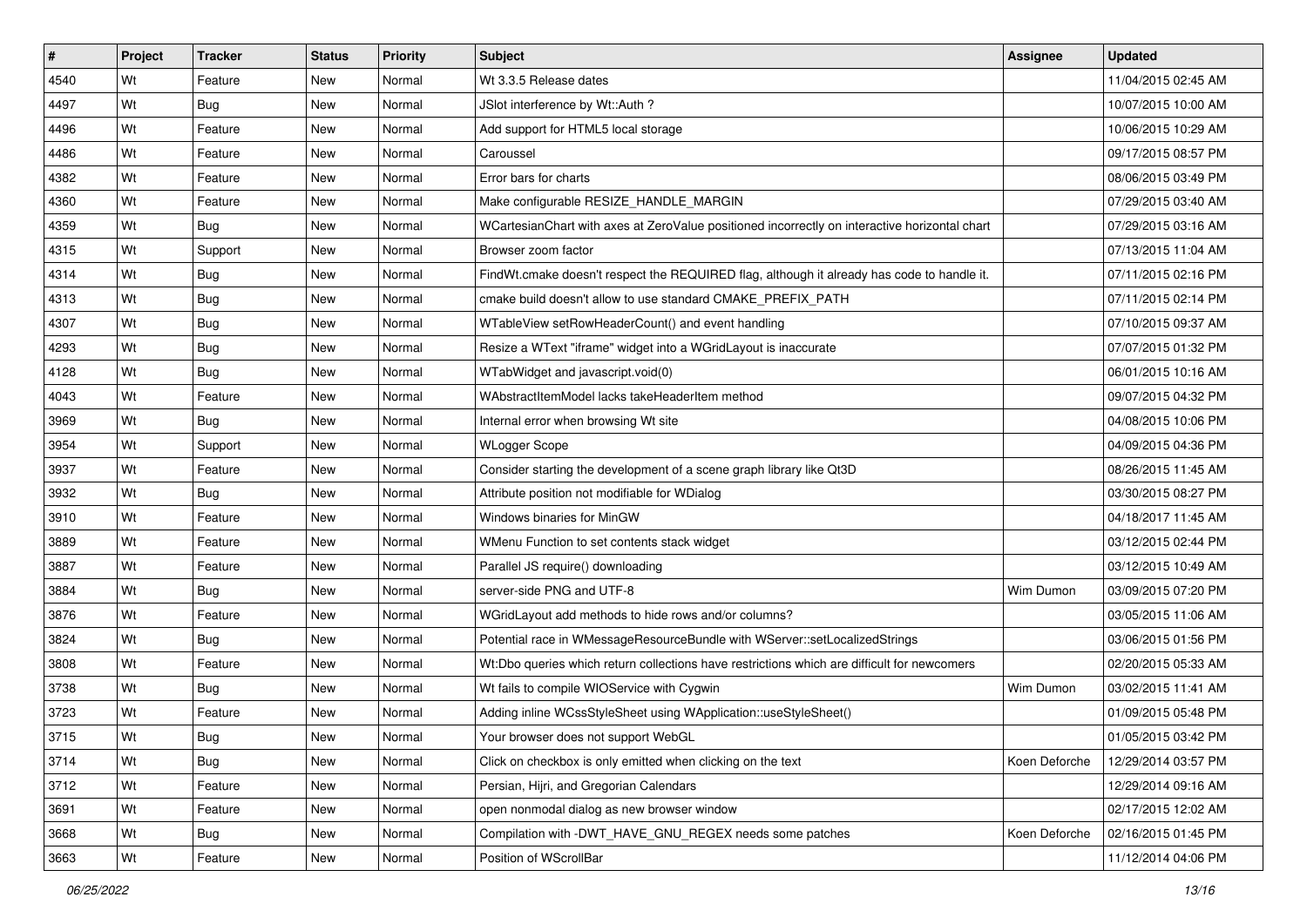| #    | Project | <b>Tracker</b> | <b>Status</b> | <b>Priority</b> | <b>Subject</b>                                                                                | <b>Assignee</b> | <b>Updated</b>      |
|------|---------|----------------|---------------|-----------------|-----------------------------------------------------------------------------------------------|-----------------|---------------------|
| 4540 | Wt      | Feature        | New           | Normal          | Wt 3.3.5 Release dates                                                                        |                 | 11/04/2015 02:45 AM |
| 4497 | Wt      | Bug            | <b>New</b>    | Normal          | JSlot interference by Wt::Auth ?                                                              |                 | 10/07/2015 10:00 AM |
| 4496 | Wt      | Feature        | New           | Normal          | Add support for HTML5 local storage                                                           |                 | 10/06/2015 10:29 AM |
| 4486 | Wt      | Feature        | New           | Normal          | Caroussel                                                                                     |                 | 09/17/2015 08:57 PM |
| 4382 | Wt      | Feature        | New           | Normal          | Error bars for charts                                                                         |                 | 08/06/2015 03:49 PM |
| 4360 | Wt      | Feature        | New           | Normal          | Make configurable RESIZE HANDLE MARGIN                                                        |                 | 07/29/2015 03:40 AM |
| 4359 | Wt      | Bug            | New           | Normal          | WCartesianChart with axes at ZeroValue positioned incorrectly on interactive horizontal chart |                 | 07/29/2015 03:16 AM |
| 4315 | Wt      | Support        | New           | Normal          | Browser zoom factor                                                                           |                 | 07/13/2015 11:04 AM |
| 4314 | Wt      | Bug            | New           | Normal          | FindWt.cmake doesn't respect the REQUIRED flag, although it already has code to handle it.    |                 | 07/11/2015 02:16 PM |
| 4313 | Wt      | Bug            | New           | Normal          | cmake build doesn't allow to use standard CMAKE_PREFIX_PATH                                   |                 | 07/11/2015 02:14 PM |
| 4307 | Wt      | Bug            | New           | Normal          | WTableView setRowHeaderCount() and event handling                                             |                 | 07/10/2015 09:37 AM |
| 4293 | Wt      | Bug            | New           | Normal          | Resize a WText "iframe" widget into a WGridLayout is inaccurate                               |                 | 07/07/2015 01:32 PM |
| 4128 | Wt      | <b>Bug</b>     | New           | Normal          | WTabWidget and javascript.void(0)                                                             |                 | 06/01/2015 10:16 AM |
| 4043 | Wt      | Feature        | New           | Normal          | WAbstractItemModel lacks takeHeaderItem method                                                |                 | 09/07/2015 04:32 PM |
| 3969 | Wt      | <b>Bug</b>     | New           | Normal          | Internal error when browsing Wt site                                                          |                 | 04/08/2015 10:06 PM |
| 3954 | Wt      | Support        | New           | Normal          | <b>WLogger Scope</b>                                                                          |                 | 04/09/2015 04:36 PM |
| 3937 | Wt      | Feature        | New           | Normal          | Consider starting the development of a scene graph library like Qt3D                          |                 | 08/26/2015 11:45 AM |
| 3932 | Wt      | Bug            | New           | Normal          | Attribute position not modifiable for WDialog                                                 |                 | 03/30/2015 08:27 PM |
| 3910 | Wt      | Feature        | New           | Normal          | Windows binaries for MinGW                                                                    |                 | 04/18/2017 11:45 AM |
| 3889 | Wt      | Feature        | <b>New</b>    | Normal          | WMenu Function to set contents stack widget                                                   |                 | 03/12/2015 02:44 PM |
| 3887 | Wt      | Feature        | New           | Normal          | Parallel JS require() downloading                                                             |                 | 03/12/2015 10:49 AM |
| 3884 | Wt      | <b>Bug</b>     | New           | Normal          | server-side PNG and UTF-8                                                                     | Wim Dumon       | 03/09/2015 07:20 PM |
| 3876 | Wt      | Feature        | New           | Normal          | WGridLayout add methods to hide rows and/or columns?                                          |                 | 03/05/2015 11:06 AM |
| 3824 | Wt      | <b>Bug</b>     | New           | Normal          | Potential race in WMessageResourceBundle with WServer::setLocalizedStrings                    |                 | 03/06/2015 01:56 PM |
| 3808 | Wt      | Feature        | New           | Normal          | Wt:Dbo queries which return collections have restrictions which are difficult for newcomers   |                 | 02/20/2015 05:33 AM |
| 3738 | Wt      | <b>Bug</b>     | New           | Normal          | Wt fails to compile WIOService with Cygwin                                                    | Wim Dumon       | 03/02/2015 11:41 AM |
| 3723 | Wt      | Feature        | New           | Normal          | Adding inline WCssStyleSheet using WApplication::useStyleSheet()                              |                 | 01/09/2015 05:48 PM |
| 3715 | Wt      | Bug            | New           | Normal          | Your browser does not support WebGL                                                           |                 | 01/05/2015 03:42 PM |
| 3714 | Wt      | <b>Bug</b>     | New           | Normal          | Click on checkbox is only emitted when clicking on the text                                   | Koen Deforche   | 12/29/2014 03:57 PM |
| 3712 | Wt      | Feature        | New           | Normal          | Persian, Hijri, and Gregorian Calendars                                                       |                 | 12/29/2014 09:16 AM |
| 3691 | Wt      | Feature        | New           | Normal          | open nonmodal dialog as new browser window                                                    |                 | 02/17/2015 12:02 AM |
| 3668 | Wt      | Bug            | New           | Normal          | Compilation with -DWT_HAVE_GNU_REGEX needs some patches                                       | Koen Deforche   | 02/16/2015 01:45 PM |
| 3663 | Wt      | Feature        | New           | Normal          | Position of WScrollBar                                                                        |                 | 11/12/2014 04:06 PM |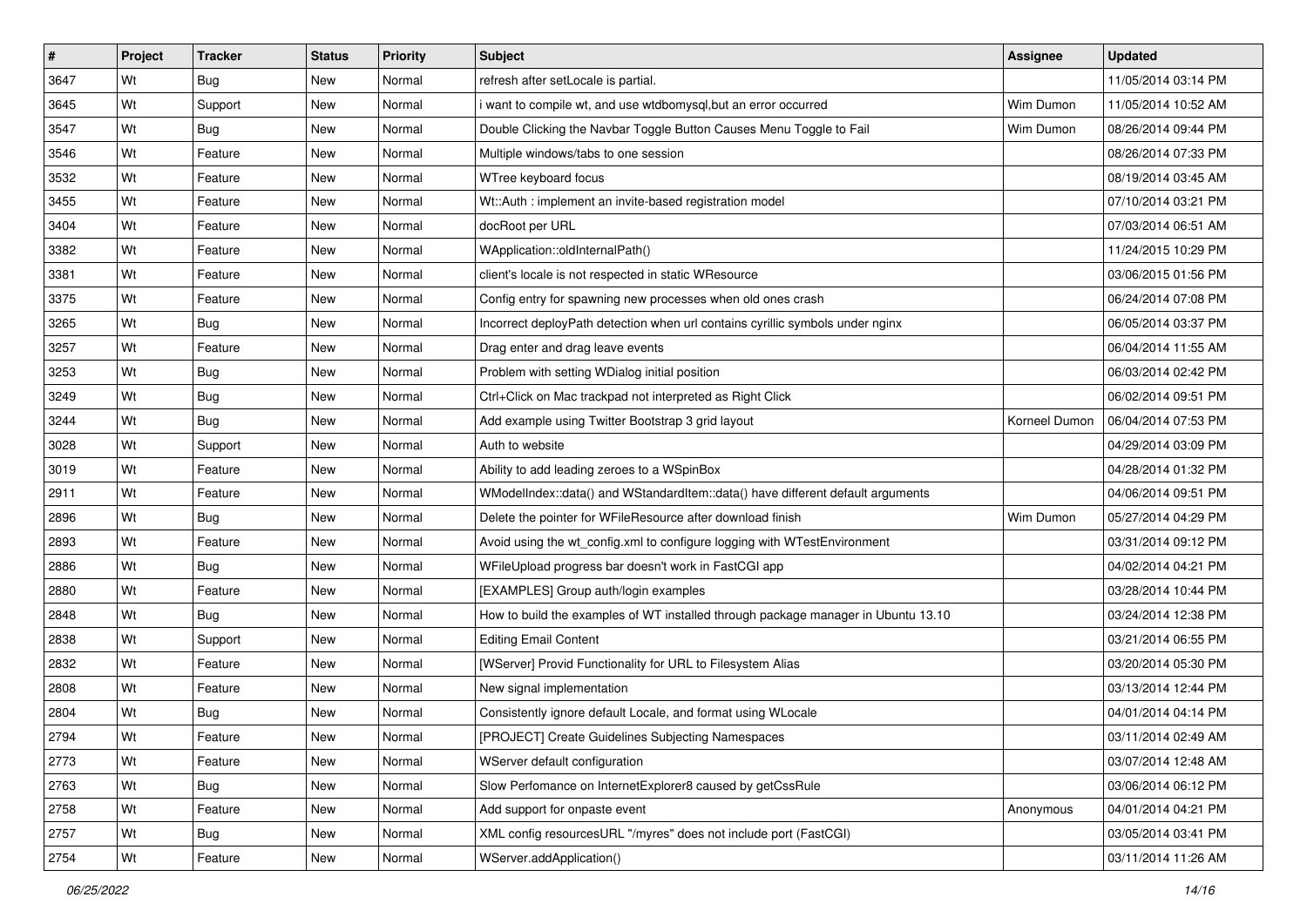| #    | Project | <b>Tracker</b> | <b>Status</b> | <b>Priority</b> | <b>Subject</b>                                                                    | Assignee      | <b>Updated</b>      |
|------|---------|----------------|---------------|-----------------|-----------------------------------------------------------------------------------|---------------|---------------------|
| 3647 | Wt      | <b>Bug</b>     | New           | Normal          | refresh after setLocale is partial.                                               |               | 11/05/2014 03:14 PM |
| 3645 | Wt      | Support        | New           | Normal          | i want to compile wt, and use wtdbomysql,but an error occurred                    | Wim Dumon     | 11/05/2014 10:52 AM |
| 3547 | Wt      | <b>Bug</b>     | New           | Normal          | Double Clicking the Navbar Toggle Button Causes Menu Toggle to Fail               | Wim Dumon     | 08/26/2014 09:44 PM |
| 3546 | Wt      | Feature        | New           | Normal          | Multiple windows/tabs to one session                                              |               | 08/26/2014 07:33 PM |
| 3532 | Wt      | Feature        | New           | Normal          | WTree keyboard focus                                                              |               | 08/19/2014 03:45 AM |
| 3455 | Wt      | Feature        | New           | Normal          | Wt::Auth: implement an invite-based registration model                            |               | 07/10/2014 03:21 PM |
| 3404 | Wt      | Feature        | New           | Normal          | docRoot per URL                                                                   |               | 07/03/2014 06:51 AM |
| 3382 | Wt      | Feature        | New           | Normal          | WApplication::oldInternalPath()                                                   |               | 11/24/2015 10:29 PM |
| 3381 | Wt      | Feature        | New           | Normal          | client's locale is not respected in static WResource                              |               | 03/06/2015 01:56 PM |
| 3375 | Wt      | Feature        | New           | Normal          | Config entry for spawning new processes when old ones crash                       |               | 06/24/2014 07:08 PM |
| 3265 | Wt      | Bug            | New           | Normal          | Incorrect deployPath detection when url contains cyrillic symbols under nginx     |               | 06/05/2014 03:37 PM |
| 3257 | Wt      | Feature        | New           | Normal          | Drag enter and drag leave events                                                  |               | 06/04/2014 11:55 AM |
| 3253 | Wt      | Bug            | New           | Normal          | Problem with setting WDialog initial position                                     |               | 06/03/2014 02:42 PM |
| 3249 | Wt      | <b>Bug</b>     | New           | Normal          | Ctrl+Click on Mac trackpad not interpreted as Right Click                         |               | 06/02/2014 09:51 PM |
| 3244 | Wt      | <b>Bug</b>     | New           | Normal          | Add example using Twitter Bootstrap 3 grid layout                                 | Korneel Dumon | 06/04/2014 07:53 PM |
| 3028 | Wt      | Support        | New           | Normal          | Auth to website                                                                   |               | 04/29/2014 03:09 PM |
| 3019 | Wt      | Feature        | <b>New</b>    | Normal          | Ability to add leading zeroes to a WSpinBox                                       |               | 04/28/2014 01:32 PM |
| 2911 | Wt      | Feature        | New           | Normal          | WModelIndex::data() and WStandardItem::data() have different default arguments    |               | 04/06/2014 09:51 PM |
| 2896 | Wt      | <b>Bug</b>     | New           | Normal          | Delete the pointer for WFileResource after download finish                        | Wim Dumon     | 05/27/2014 04:29 PM |
| 2893 | Wt      | Feature        | New           | Normal          | Avoid using the wt_config.xml to configure logging with WTestEnvironment          |               | 03/31/2014 09:12 PM |
| 2886 | Wt      | <b>Bug</b>     | New           | Normal          | WFileUpload progress bar doesn't work in FastCGI app                              |               | 04/02/2014 04:21 PM |
| 2880 | Wt      | Feature        | New           | Normal          | [EXAMPLES] Group auth/login examples                                              |               | 03/28/2014 10:44 PM |
| 2848 | Wt      | Bug            | New           | Normal          | How to build the examples of WT installed through package manager in Ubuntu 13.10 |               | 03/24/2014 12:38 PM |
| 2838 | Wt      | Support        | New           | Normal          | <b>Editing Email Content</b>                                                      |               | 03/21/2014 06:55 PM |
| 2832 | Wt      | Feature        | New           | Normal          | [WServer] Provid Functionality for URL to Filesystem Alias                        |               | 03/20/2014 05:30 PM |
| 2808 | Wt      | Feature        | <b>New</b>    | Normal          | New signal implementation                                                         |               | 03/13/2014 12:44 PM |
| 2804 | Wt      | <b>Bug</b>     | New           | Normal          | Consistently ignore default Locale, and format using WLocale                      |               | 04/01/2014 04:14 PM |
| 2794 | Wt      | Feature        | New           | Normal          | [PROJECT] Create Guidelines Subjecting Namespaces                                 |               | 03/11/2014 02:49 AM |
| 2773 | Wt      | Feature        | New           | Normal          | WServer default configuration                                                     |               | 03/07/2014 12:48 AM |
| 2763 | Wt      | Bug            | New           | Normal          | Slow Perfomance on InternetExplorer8 caused by getCssRule                         |               | 03/06/2014 06:12 PM |
| 2758 | Wt      | Feature        | New           | Normal          | Add support for onpaste event                                                     | Anonymous     | 04/01/2014 04:21 PM |
| 2757 | Wt      | <b>Bug</b>     | New           | Normal          | XML config resourcesURL "/myres" does not include port (FastCGI)                  |               | 03/05/2014 03:41 PM |
| 2754 | Wt      | Feature        | New           | Normal          | WServer.addApplication()                                                          |               | 03/11/2014 11:26 AM |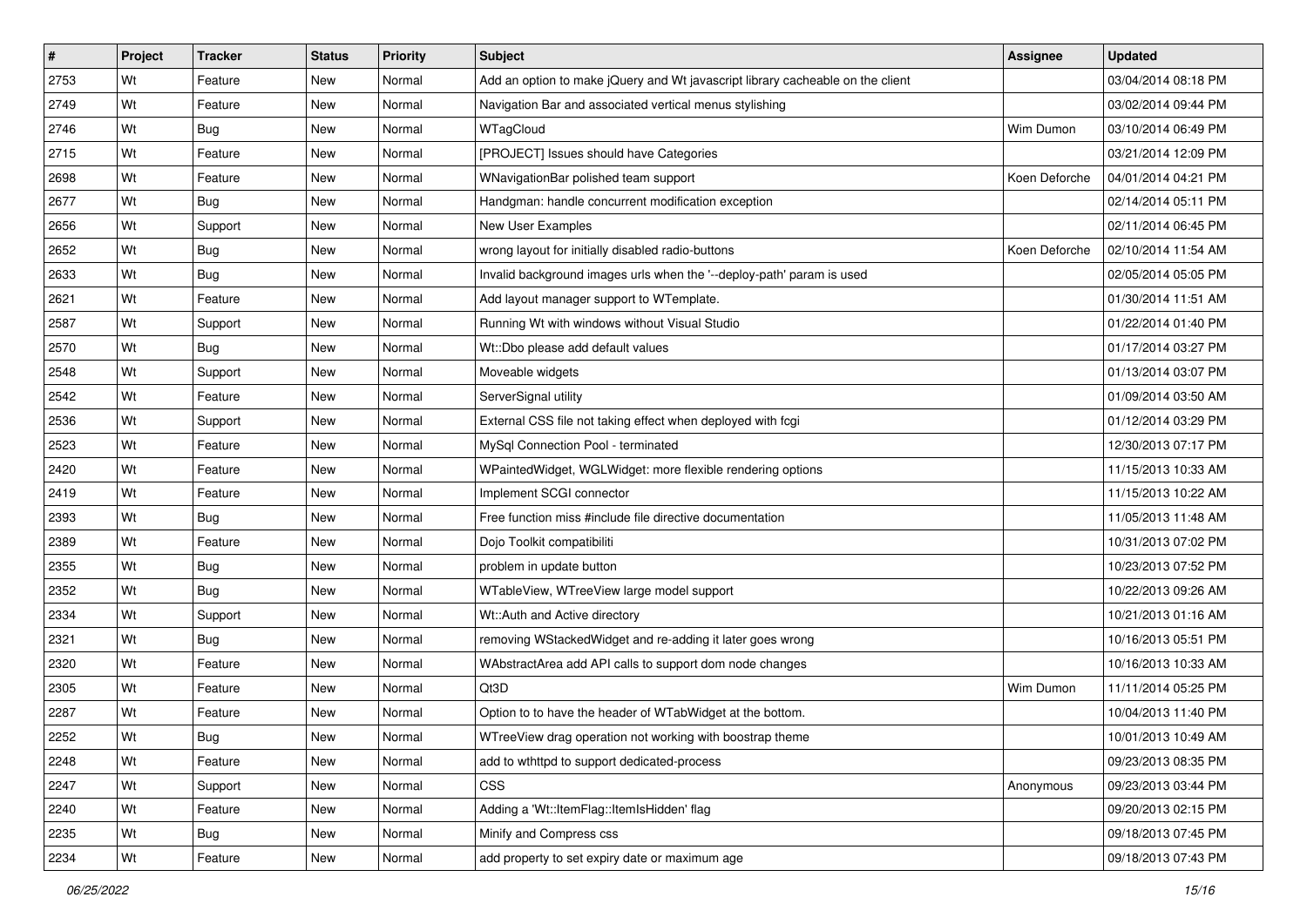| #    | Project | <b>Tracker</b> | <b>Status</b> | <b>Priority</b> | <b>Subject</b>                                                                 | <b>Assignee</b> | <b>Updated</b>      |
|------|---------|----------------|---------------|-----------------|--------------------------------------------------------------------------------|-----------------|---------------------|
| 2753 | Wt      | Feature        | New           | Normal          | Add an option to make jQuery and Wt javascript library cacheable on the client |                 | 03/04/2014 08:18 PM |
| 2749 | Wt      | Feature        | <b>New</b>    | Normal          | Navigation Bar and associated vertical menus stylishing                        |                 | 03/02/2014 09:44 PM |
| 2746 | Wt      | Bug            | New           | Normal          | WTagCloud                                                                      | Wim Dumon       | 03/10/2014 06:49 PM |
| 2715 | Wt      | Feature        | <b>New</b>    | Normal          | [PROJECT] Issues should have Categories                                        |                 | 03/21/2014 12:09 PM |
| 2698 | Wt      | Feature        | New           | Normal          | WNavigationBar polished team support                                           | Koen Deforche   | 04/01/2014 04:21 PM |
| 2677 | Wt      | Bug            | New           | Normal          | Handgman: handle concurrent modification exception                             |                 | 02/14/2014 05:11 PM |
| 2656 | Wt      | Support        | New           | Normal          | New User Examples                                                              |                 | 02/11/2014 06:45 PM |
| 2652 | Wt      | <b>Bug</b>     | New           | Normal          | wrong layout for initially disabled radio-buttons                              | Koen Deforche   | 02/10/2014 11:54 AM |
| 2633 | Wt      | Bug            | New           | Normal          | Invalid background images urls when the '--deploy-path' param is used          |                 | 02/05/2014 05:05 PM |
| 2621 | Wt      | Feature        | New           | Normal          | Add layout manager support to WTemplate.                                       |                 | 01/30/2014 11:51 AM |
| 2587 | Wt      | Support        | New           | Normal          | Running Wt with windows without Visual Studio                                  |                 | 01/22/2014 01:40 PM |
| 2570 | Wt      | <b>Bug</b>     | New           | Normal          | Wt::Dbo please add default values                                              |                 | 01/17/2014 03:27 PM |
| 2548 | Wt      | Support        | <b>New</b>    | Normal          | Moveable widgets                                                               |                 | 01/13/2014 03:07 PM |
| 2542 | Wt      | Feature        | New           | Normal          | ServerSignal utility                                                           |                 | 01/09/2014 03:50 AM |
| 2536 | Wt      | Support        | New           | Normal          | External CSS file not taking effect when deployed with fcgi                    |                 | 01/12/2014 03:29 PM |
| 2523 | Wt      | Feature        | New           | Normal          | MySql Connection Pool - terminated                                             |                 | 12/30/2013 07:17 PM |
| 2420 | Wt      | Feature        | <b>New</b>    | Normal          | WPaintedWidget, WGLWidget: more flexible rendering options                     |                 | 11/15/2013 10:33 AM |
| 2419 | Wt      | Feature        | <b>New</b>    | Normal          | Implement SCGI connector                                                       |                 | 11/15/2013 10:22 AM |
| 2393 | Wt      | Bug            | New           | Normal          | Free function miss #include file directive documentation                       |                 | 11/05/2013 11:48 AM |
| 2389 | Wt      | Feature        | <b>New</b>    | Normal          | Dojo Toolkit compatibiliti                                                     |                 | 10/31/2013 07:02 PM |
| 2355 | Wt      | <b>Bug</b>     | New           | Normal          | problem in update button                                                       |                 | 10/23/2013 07:52 PM |
| 2352 | Wt      | Bug            | New           | Normal          | WTableView, WTreeView large model support                                      |                 | 10/22/2013 09:26 AM |
| 2334 | Wt      | Support        | New           | Normal          | Wt::Auth and Active directory                                                  |                 | 10/21/2013 01:16 AM |
| 2321 | Wt      | <b>Bug</b>     | New           | Normal          | removing WStackedWidget and re-adding it later goes wrong                      |                 | 10/16/2013 05:51 PM |
| 2320 | Wt      | Feature        | New           | Normal          | WAbstractArea add API calls to support dom node changes                        |                 | 10/16/2013 10:33 AM |
| 2305 | Wt      | Feature        | <b>New</b>    | Normal          | Qt3D                                                                           | Wim Dumon       | 11/11/2014 05:25 PM |
| 2287 | Wt      | Feature        | New           | Normal          | Option to to have the header of WTabWidget at the bottom.                      |                 | 10/04/2013 11:40 PM |
| 2252 | Wt      | <b>Bug</b>     | New           | Normal          | WTreeView drag operation not working with boostrap theme                       |                 | 10/01/2013 10:49 AM |
| 2248 | Wt      | Feature        | New           | Normal          | add to wthttpd to support dedicated-process                                    |                 | 09/23/2013 08:35 PM |
| 2247 | Wt      | Support        | New           | Normal          | <b>CSS</b>                                                                     | Anonymous       | 09/23/2013 03:44 PM |
| 2240 | Wt      | Feature        | New           | Normal          | Adding a 'Wt::ItemFlag::ItemIsHidden' flag                                     |                 | 09/20/2013 02:15 PM |
| 2235 | Wt      | <b>Bug</b>     | New           | Normal          | Minify and Compress css                                                        |                 | 09/18/2013 07:45 PM |
| 2234 | Wt      | Feature        | New           | Normal          | add property to set expiry date or maximum age                                 |                 | 09/18/2013 07:43 PM |